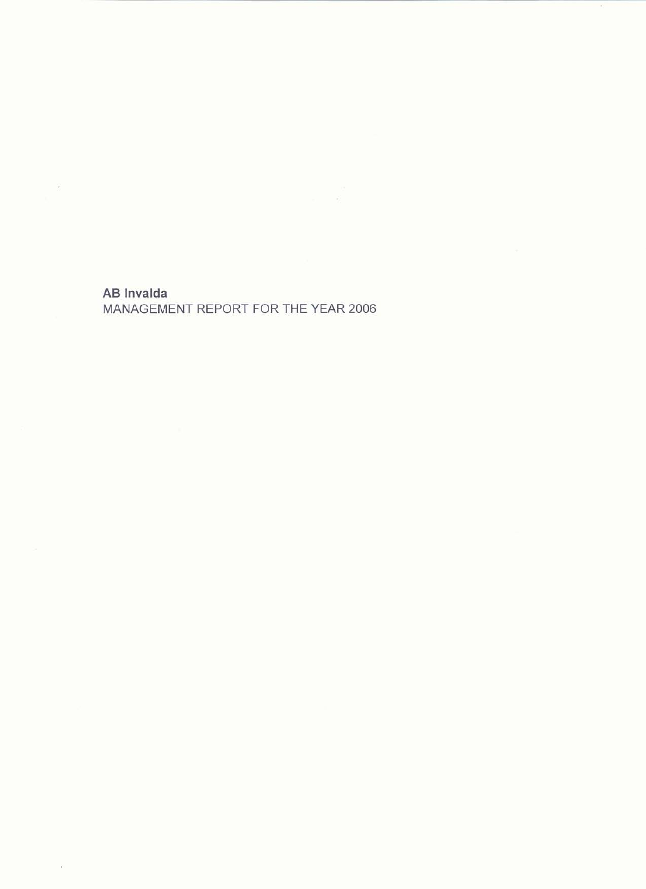# **AB** Invalda

 $\mathcal{L}$ 

 $\mathcal{D}$ 

# MANAGEMENT REPORT FOR THE YEAR 2006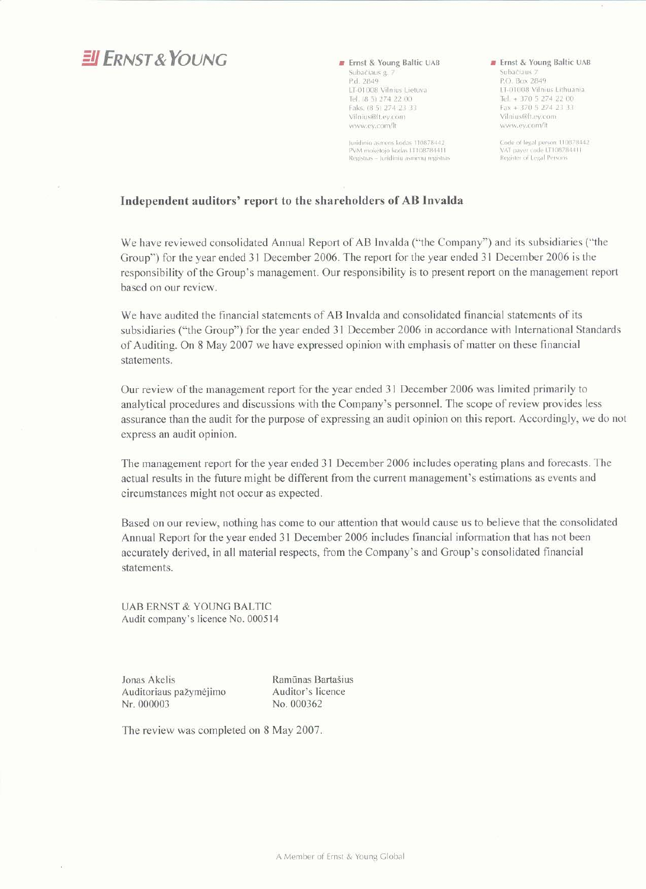# $EIF<sub>RNST</sub>$ *RNST*<sub>&</sub>*YOUNG*

Frnst & Young Baltic UAB Subačiaus g. 7 P.d. 2849 LT-01008 Vilnius Lietuva Tel. (8 5) 274 22 00 Faks. (8 5) 274 23 33 Vilnius@lt.ey.com www.ev.com/lt

Juridinio asmens kodas 110878442 PVM mokétojo kodas LT108784411<br>Registras - Juridinių asmenų registras *m* Ernst & Young Baltic UAB Subačiaus 7 P.O. Box 2849 LT-01008 Vilnius Lithuania Tel. + 370 5 274 22 00  $Fax + 37052742333$ Vilnius@lt.ey.com www.ey.com/lt

Code of legal person 110878442<br>VAT payer code LT108784411<br>Register of Legal Persons

#### Independent auditors' report to the shareholders of AB Invalda

We have reviewed consolidated Annual Report of AB Invalda ("the Company") and its subsidiaries ("the Group") for the year ended 31 December 2006. The report for the year ended 31 December 2006 is the responsibility of the Group's management. Our responsibility is to present report on the management report based on our review.

We have audited the financial statements of AB Invalda and consolidated financial statements of its subsidiaries ("the Group") for the year ended 31 December 2006 in accordance with International Standards of Auditing. On 8 May 2007 we have expressed opinion with emphasis of matter on these financial statements.

Our review of the management report for the year ended 31 December 2006 was limited primarily to analytical procedures and discussions with the Company's personnel. The scope of review provides less assurance than the audit for the purpose of expressing an audit opinion on this report. Accordingly, we do not express an audit opinion.

The management report for the year ended 31 December 2006 includes operating plans and forecasts. The actual results in the future might be different from the current management's estimations as events and circumstances might not occur as expected.

Based on our review, nothing has come to our attention that would cause us to believe that the consolidated Annual Report for the year ended 31 December 2006 includes financial information that has not been accurately derived, in all material respects, from the Company's and Group's consolidated financial statements.

**UAB ERNST & YOUNG BALTIC** Audit company's licence No. 000514

Jonas Akelis Auditoriaus pažymėjimo Nr. 000003

Ramūnas Bartašius Auditor's licence No. 000362

The review was completed on 8 May 2007.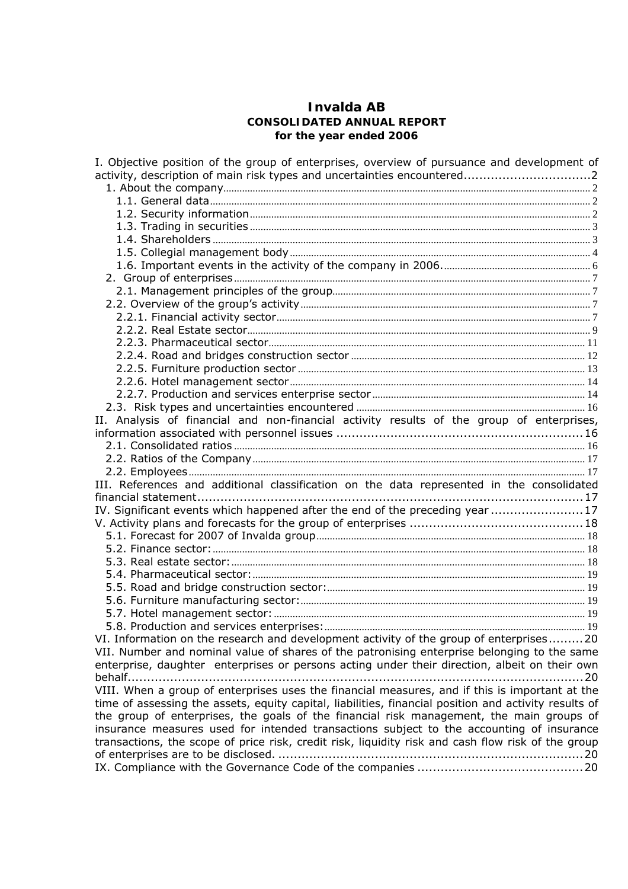## **Invalda AB CONSOLIDATED ANNUAL REPORT for the year ended 2006**

| I. Objective position of the group of enterprises, overview of pursuance and development of           |
|-------------------------------------------------------------------------------------------------------|
|                                                                                                       |
|                                                                                                       |
|                                                                                                       |
|                                                                                                       |
|                                                                                                       |
|                                                                                                       |
|                                                                                                       |
|                                                                                                       |
|                                                                                                       |
|                                                                                                       |
|                                                                                                       |
|                                                                                                       |
|                                                                                                       |
|                                                                                                       |
|                                                                                                       |
|                                                                                                       |
|                                                                                                       |
|                                                                                                       |
|                                                                                                       |
| II. Analysis of financial and non-financial activity results of the group of enterprises,             |
|                                                                                                       |
|                                                                                                       |
|                                                                                                       |
|                                                                                                       |
| III. References and additional classification on the data represented in the consolidated             |
|                                                                                                       |
| IV. Significant events which happened after the end of the preceding year 17                          |
|                                                                                                       |
|                                                                                                       |
|                                                                                                       |
|                                                                                                       |
|                                                                                                       |
|                                                                                                       |
|                                                                                                       |
|                                                                                                       |
|                                                                                                       |
| VI. Information on the research and development activity of the group of enterprises20                |
| VII. Number and nominal value of shares of the patronising enterprise belonging to the same           |
| enterprise, daughter enterprises or persons acting under their direction, albeit on their own         |
| . 20                                                                                                  |
| VIII. When a group of enterprises uses the financial measures, and if this is important at the        |
| time of assessing the assets, equity capital, liabilities, financial position and activity results of |
| the group of enterprises, the goals of the financial risk management, the main groups of              |
| insurance measures used for intended transactions subject to the accounting of insurance              |
| transactions, the scope of price risk, credit risk, liquidity risk and cash flow risk of the group    |
|                                                                                                       |
|                                                                                                       |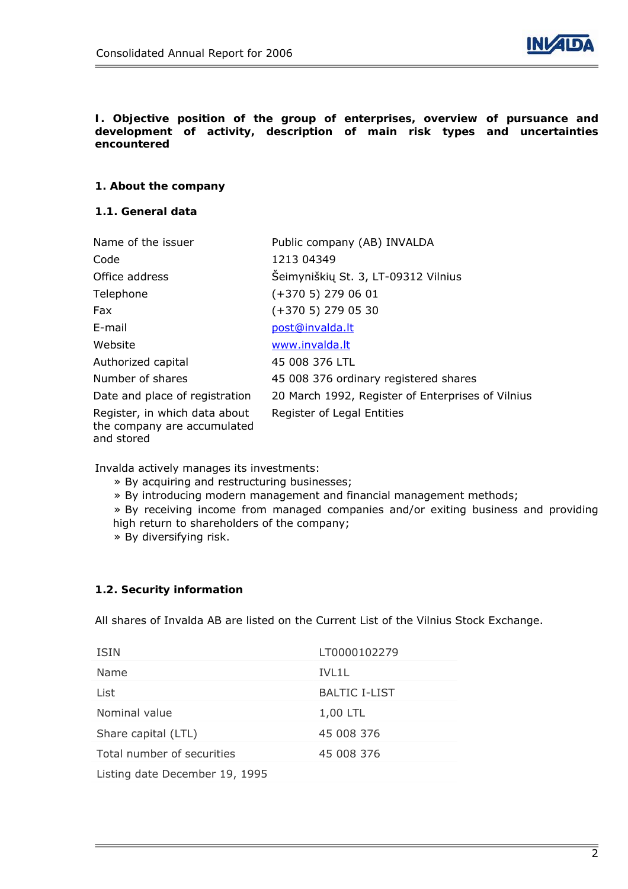

#### **I. Objective position of the group of enterprises, overview of pursuance and development of activity, description of main risk types and uncertainties encountered**

### **1. About the company**

### **1.1. General data**

| Name of the issuer                                                         | Public company (AB) INVALDA                       |
|----------------------------------------------------------------------------|---------------------------------------------------|
| Code                                                                       | 1213 04349                                        |
| Office address                                                             | Šeimyniškių St. 3, LT-09312 Vilnius               |
| Telephone                                                                  | $(+3705)$ 279 06 01                               |
| Fax                                                                        | $(+3705)$ 279 05 30                               |
| E-mail                                                                     | post@invalda.lt                                   |
| Website                                                                    | www.invalda.lt                                    |
| Authorized capital                                                         | 45 008 376 LTL                                    |
| Number of shares                                                           | 45 008 376 ordinary registered shares             |
| Date and place of registration                                             | 20 March 1992, Register of Enterprises of Vilnius |
| Register, in which data about<br>the company are accumulated<br>and stored | Register of Legal Entities                        |

Invalda actively manages its investments:

- » By acquiring and restructuring businesses;
- » By introducing modern management and financial management methods;
- » By receiving income from managed companies and/or exiting business and providing high return to shareholders of the company;

» By diversifying risk.

### **1.2. Security information**

All shares of Invalda AB are listed on the Current List of the Vilnius Stock Exchange.

| <b>ISIN</b>                    | LT0000102279         |
|--------------------------------|----------------------|
| Name                           | TVL 11               |
| List                           | <b>BALTIC I-LIST</b> |
| Nominal value                  | 1,00 LTL             |
| Share capital (LTL)            | 45 008 376           |
| Total number of securities     | 45 008 376           |
| Listing date December 19, 1995 |                      |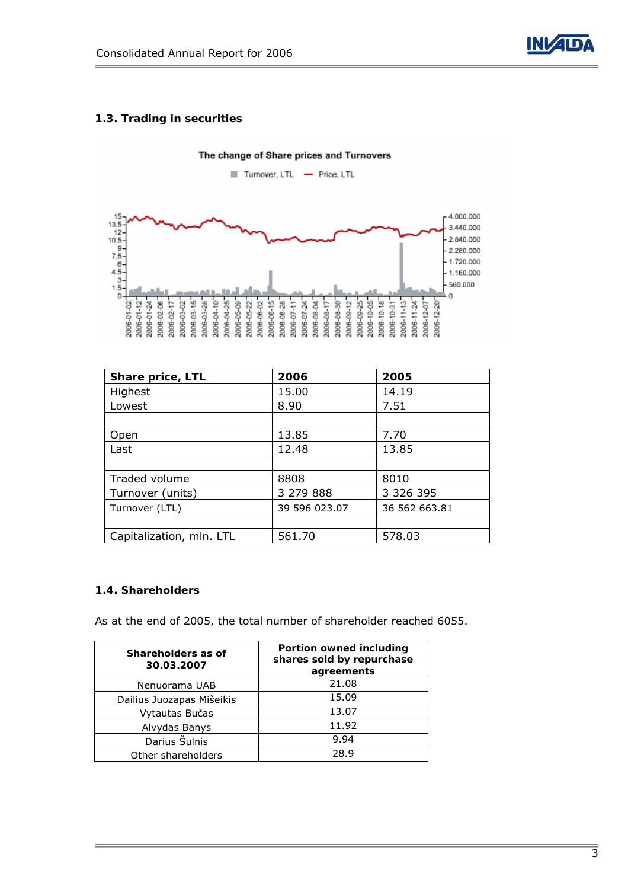

### **1.3. Trading in securities**

The change of Share prices and Turnovers

Turnover, LTL - Price, LTL



| Share price, LTL         | 2006          | 2005          |
|--------------------------|---------------|---------------|
| Highest                  | 15.00         | 14.19         |
| Lowest                   | 8.90          | 7.51          |
|                          |               |               |
| Open                     | 13.85         | 7.70          |
| Last                     | 12.48         | 13.85         |
|                          |               |               |
| Traded volume            | 8808          | 8010          |
| Turnover (units)         | 3 279 888     | 3 3 2 6 3 9 5 |
| Turnover (LTL)           | 39 596 023.07 | 36 562 663.81 |
|                          |               |               |
| Capitalization, mln. LTL | 561.70        | 578.03        |

### **1.4. Shareholders**

As at the end of 2005, the total number of shareholder reached 6055.

| Shareholders as of<br>30.03.2007 | Portion owned including<br>shares sold by repurchase<br>agreements |
|----------------------------------|--------------------------------------------------------------------|
| Nenuorama UAB                    | 21.08                                                              |
| Dailius Juozapas Mišeikis        | 15.09                                                              |
| Vytautas Bučas                   | 13.07                                                              |
| Alvydas Banys                    | 11.92                                                              |
| Darius Šulnis                    | 9.94                                                               |
| Other shareholders               | 28.9                                                               |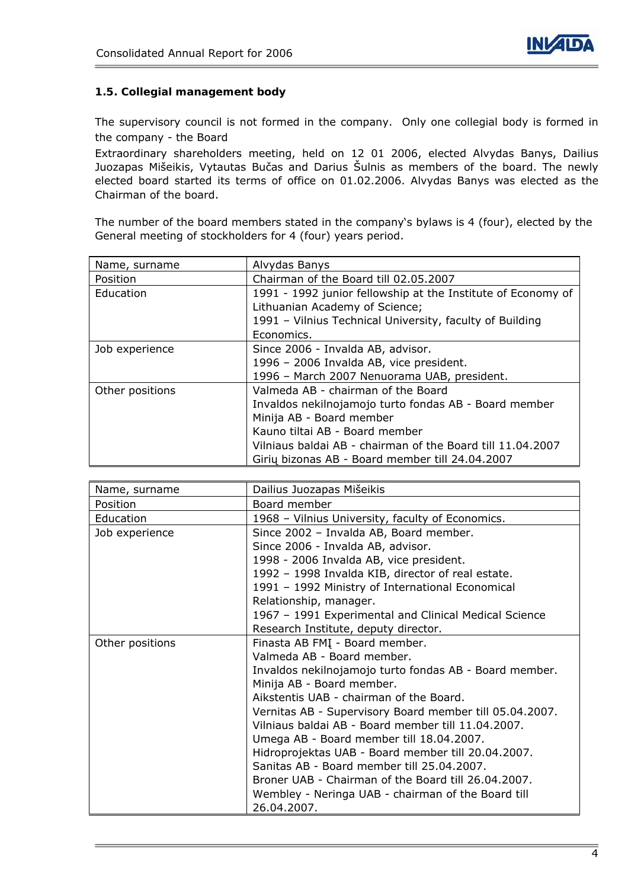



### **1.5. Collegial management body**

The supervisory council is not formed in the company. Only one collegial body is formed in the company - the Board

Extraordinary shareholders meeting, held on 12 01 2006, elected Alvydas Banys, Dailius Juozapas Mišeikis, Vytautas Bučas and Darius Šulnis as members of the board. The newly elected board started its terms of office on 01.02.2006. Alvydas Banys was elected as the Chairman of the board.

The number of the board members stated in the company's bylaws is 4 (four), elected by the General meeting of stockholders for 4 (four) years period.

| Name, surname   | Alvydas Banys                                                |
|-----------------|--------------------------------------------------------------|
| Position        | Chairman of the Board till 02.05.2007                        |
| Education       | 1991 - 1992 junior fellowship at the Institute of Economy of |
|                 | Lithuanian Academy of Science;                               |
|                 | 1991 - Vilnius Technical University, faculty of Building     |
|                 | Economics.                                                   |
| Job experience  | Since 2006 - Invalda AB, advisor.                            |
|                 | 1996 - 2006 Invalda AB, vice president.                      |
|                 | 1996 - March 2007 Nenuorama UAB, president.                  |
| Other positions | Valmeda AB - chairman of the Board                           |
|                 | Invaldos nekilnojamojo turto fondas AB - Board member        |
|                 | Minija AB - Board member                                     |
|                 | Kauno tiltai AB - Board member                               |
|                 | Vilniaus baldai AB - chairman of the Board till 11.04.2007   |
|                 | Girių bizonas AB - Board member till 24.04.2007              |

| Name, surname   | Dailius Juozapas Mišeikis                               |  |  |  |  |
|-----------------|---------------------------------------------------------|--|--|--|--|
| Position        | Board member                                            |  |  |  |  |
| Education       | 1968 - Vilnius University, faculty of Economics.        |  |  |  |  |
| Job experience  | Since 2002 - Invalda AB, Board member.                  |  |  |  |  |
|                 | Since 2006 - Invalda AB, advisor.                       |  |  |  |  |
|                 | 1998 - 2006 Invalda AB, vice president.                 |  |  |  |  |
|                 | 1992 - 1998 Invalda KIB, director of real estate.       |  |  |  |  |
|                 | 1991 - 1992 Ministry of International Economical        |  |  |  |  |
|                 | Relationship, manager.                                  |  |  |  |  |
|                 | 1967 - 1991 Experimental and Clinical Medical Science   |  |  |  |  |
|                 | Research Institute, deputy director.                    |  |  |  |  |
| Other positions | Finasta AB FMI - Board member.                          |  |  |  |  |
|                 | Valmeda AB - Board member.                              |  |  |  |  |
|                 | Invaldos nekilnojamojo turto fondas AB - Board member.  |  |  |  |  |
|                 | Minija AB - Board member.                               |  |  |  |  |
|                 | Aikstentis UAB - chairman of the Board.                 |  |  |  |  |
|                 | Vernitas AB - Supervisory Board member till 05.04.2007. |  |  |  |  |
|                 | Vilniaus baldai AB - Board member till 11.04.2007.      |  |  |  |  |
|                 | Umega AB - Board member till 18.04.2007.                |  |  |  |  |
|                 | Hidroprojektas UAB - Board member till 20.04.2007.      |  |  |  |  |
|                 | Sanitas AB - Board member till 25.04.2007.              |  |  |  |  |
|                 | Broner UAB - Chairman of the Board till 26.04.2007.     |  |  |  |  |
|                 | Wembley - Neringa UAB - chairman of the Board till      |  |  |  |  |
|                 | 26.04.2007.                                             |  |  |  |  |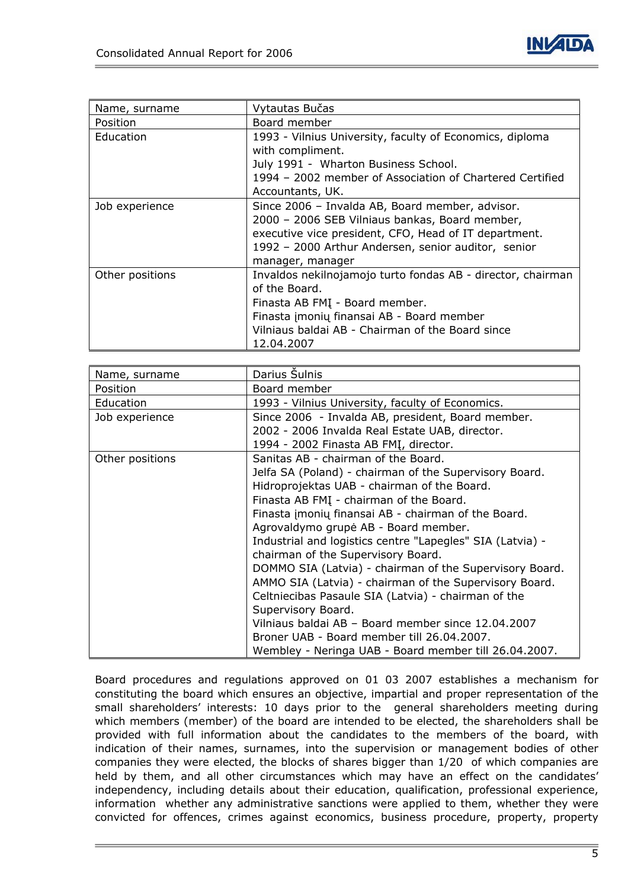

| Name, surname   | Vytautas Bučas                                              |  |  |
|-----------------|-------------------------------------------------------------|--|--|
| Position        | Board member                                                |  |  |
| Education       | 1993 - Vilnius University, faculty of Economics, diploma    |  |  |
|                 | with compliment.                                            |  |  |
|                 | July 1991 - Wharton Business School.                        |  |  |
|                 | 1994 - 2002 member of Association of Chartered Certified    |  |  |
|                 | Accountants, UK.                                            |  |  |
| Job experience  | Since 2006 - Invalda AB, Board member, advisor.             |  |  |
|                 | 2000 - 2006 SEB Vilniaus bankas, Board member,              |  |  |
|                 | executive vice president, CFO, Head of IT department.       |  |  |
|                 | 1992 - 2000 Arthur Andersen, senior auditor, senior         |  |  |
|                 | manager, manager                                            |  |  |
| Other positions | Invaldos nekilnojamojo turto fondas AB - director, chairman |  |  |
|                 | of the Board.                                               |  |  |
|                 | Finasta AB FMI - Board member.                              |  |  |
|                 | Finasta įmonių finansai AB - Board member                   |  |  |
|                 | Vilniaus baldai AB - Chairman of the Board since            |  |  |
|                 | 12.04.2007                                                  |  |  |

| Name, surname   | Darius Sulnis                                             |  |  |  |  |
|-----------------|-----------------------------------------------------------|--|--|--|--|
| Position        | Board member                                              |  |  |  |  |
| Education       | 1993 - Vilnius University, faculty of Economics.          |  |  |  |  |
| Job experience  | Since 2006 - Invalda AB, president, Board member.         |  |  |  |  |
|                 | 2002 - 2006 Invalda Real Estate UAB, director.            |  |  |  |  |
|                 | 1994 - 2002 Finasta AB FMI, director.                     |  |  |  |  |
| Other positions | Sanitas AB - chairman of the Board.                       |  |  |  |  |
|                 | Jelfa SA (Poland) - chairman of the Supervisory Board.    |  |  |  |  |
|                 | Hidroprojektas UAB - chairman of the Board.               |  |  |  |  |
|                 | Finasta AB FMI - chairman of the Board.                   |  |  |  |  |
|                 | Finasta įmonių finansai AB - chairman of the Board.       |  |  |  |  |
|                 | Agrovaldymo grupė AB - Board member.                      |  |  |  |  |
|                 | Industrial and logistics centre "Lapegles" SIA (Latvia) - |  |  |  |  |
|                 | chairman of the Supervisory Board.                        |  |  |  |  |
|                 | DOMMO SIA (Latvia) - chairman of the Supervisory Board.   |  |  |  |  |
|                 | AMMO SIA (Latvia) - chairman of the Supervisory Board.    |  |  |  |  |
|                 | Celtniecibas Pasaule SIA (Latvia) - chairman of the       |  |  |  |  |
|                 | Supervisory Board.                                        |  |  |  |  |
|                 | Vilniaus baldai AB - Board member since 12.04.2007        |  |  |  |  |
|                 | Broner UAB - Board member till 26.04.2007.                |  |  |  |  |
|                 | Wembley - Neringa UAB - Board member till 26.04.2007.     |  |  |  |  |

Board procedures and regulations approved on 01 03 2007 establishes a mechanism for constituting the board which ensures an objective, impartial and proper representation of the small shareholders' interests: 10 days prior to the general shareholders meeting during which members (member) of the board are intended to be elected, the shareholders shall be provided with full information about the candidates to the members of the board, with indication of their names, surnames, into the supervision or management bodies of other companies they were elected, the blocks of shares bigger than 1/20 of which companies are held by them, and all other circumstances which may have an effect on the candidates' independency, including details about their education, qualification, professional experience, information whether any administrative sanctions were applied to them, whether they were convicted for offences, crimes against economics, business procedure, property, property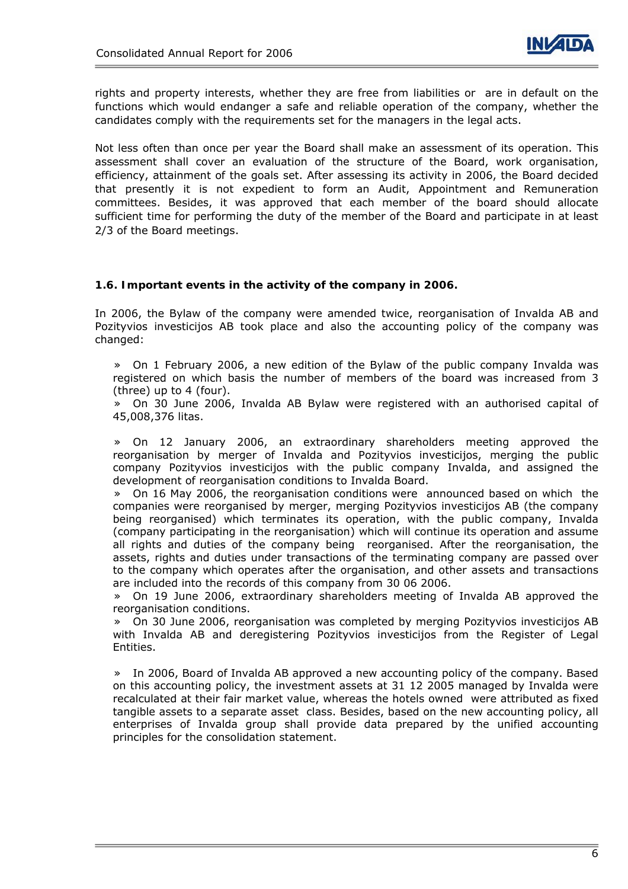rights and property interests, whether they are free from liabilities or are in default on the functions which would endanger a safe and reliable operation of the company, whether the candidates comply with the requirements set for the managers in the legal acts.

Not less often than once per year the Board shall make an assessment of its operation. This assessment shall cover an evaluation of the structure of the Board, work organisation, efficiency, attainment of the goals set. After assessing its activity in 2006, the Board decided that presently it is not expedient to form an Audit, Appointment and Remuneration committees. Besides, it was approved that each member of the board should allocate sufficient time for performing the duty of the member of the Board and participate in at least 2/3 of the Board meetings.

### **1.6. Important events in the activity of the company in 2006.**

In 2006, the Bylaw of the company were amended twice, reorganisation of Invalda AB and Pozityvios investicijos AB took place and also the accounting policy of the company was changed:

» On 1 February 2006, a new edition of the Bylaw of the public company Invalda was registered on which basis the number of members of the board was increased from 3 (three) up to 4 (four).

» On 30 June 2006, Invalda AB Bylaw were registered with an authorised capital of 45,008,376 litas.

» On 12 January 2006, an extraordinary shareholders meeting approved the reorganisation by merger of Invalda and Pozityvios investicijos, merging the public company Pozityvios investicijos with the public company Invalda, and assigned the development of reorganisation conditions to Invalda Board.

» On 16 May 2006, the reorganisation conditions were announced based on which the companies were reorganised by merger, merging Pozityvios investicijos AB (the company being reorganised) which terminates its operation, with the public company, Invalda (company participating in the reorganisation) which will continue its operation and assume all rights and duties of the company being reorganised. After the reorganisation, the assets, rights and duties under transactions of the terminating company are passed over to the company which operates after the organisation, and other assets and transactions are included into the records of this company from 30 06 2006.

» On 19 June 2006, extraordinary shareholders meeting of Invalda AB approved the reorganisation conditions.

» On 30 June 2006, reorganisation was completed by merging Pozityvios investicijos AB with Invalda AB and deregistering Pozityvios investicijos from the Register of Legal Entities.

» In 2006, Board of Invalda AB approved a new accounting policy of the company. Based on this accounting policy, the investment assets at 31 12 2005 managed by Invalda were recalculated at their fair market value, whereas the hotels owned were attributed as fixed tangible assets to a separate asset class. Besides, based on the new accounting policy, all enterprises of Invalda group shall provide data prepared by the unified accounting principles for the consolidation statement.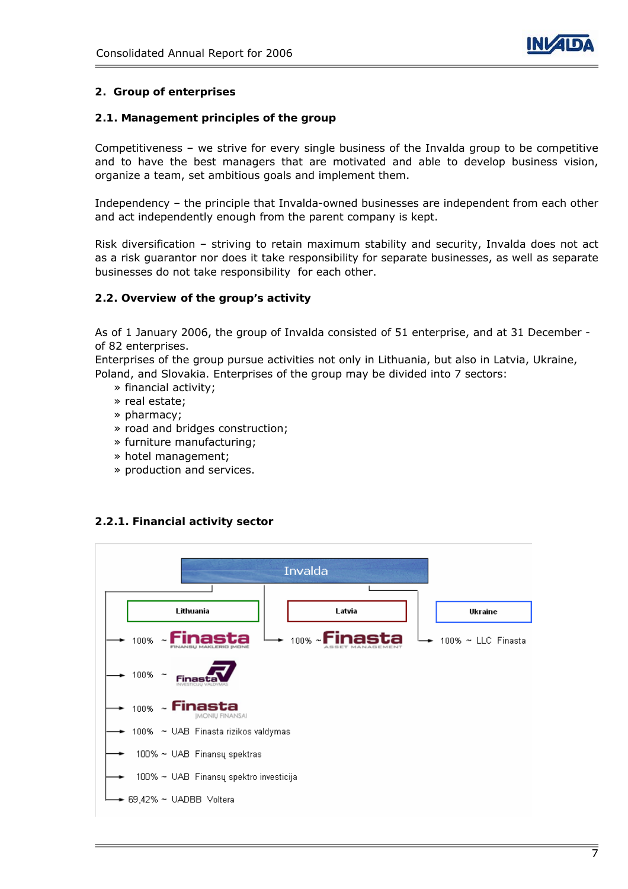

### **2. Group of enterprises**

### **2.1. Management principles of the group**

Competitiveness – we strive for every single business of the Invalda group to be competitive and to have the best managers that are motivated and able to develop business vision, organize a team, set ambitious goals and implement them.

Independency – the principle that Invalda-owned businesses are independent from each other and act independently enough from the parent company is kept.

Risk diversification – striving to retain maximum stability and security, Invalda does not act as a risk guarantor nor does it take responsibility for separate businesses, as well as separate businesses do not take responsibility for each other.

### **2.2. Overview of the group's activity**

As of 1 January 2006, the group of Invalda consisted of 51 enterprise, and at 31 December of 82 enterprises.

Enterprises of the group pursue activities not only in Lithuania, but also in Latvia, Ukraine, Poland, and Slovakia. Enterprises of the group may be divided into 7 sectors:

- » financial activity;
- » real estate;
- » pharmacy;
- » road and bridges construction;
- » furniture manufacturing;
- » hotel management;
- » production and services.

### **2.2.1. Financial activity sector**

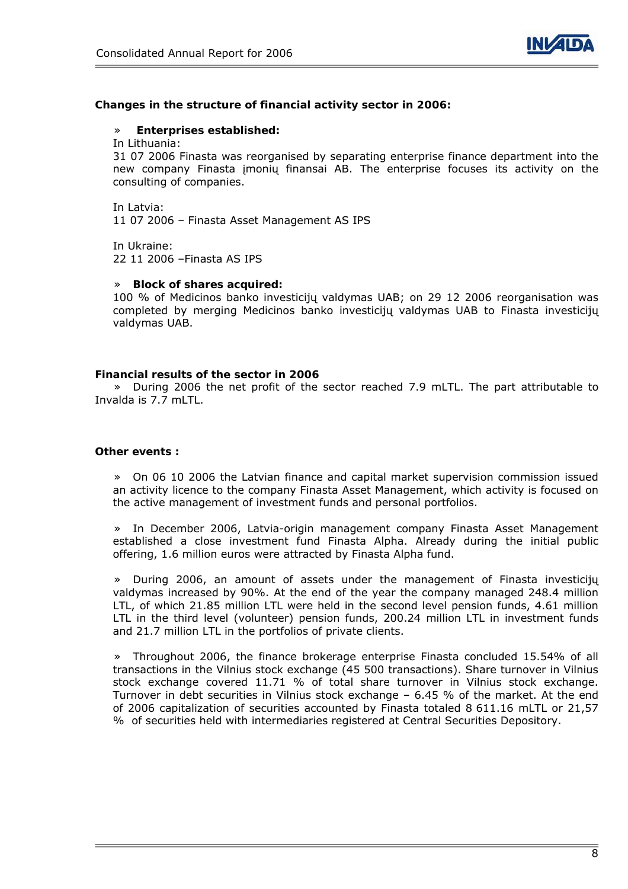

#### **Changes in the structure of financial activity sector in 2006:**

#### » **Enterprises established:**

In Lithuania:

31 07 2006 Finasta was reorganised by separating enterprise finance department into the new company Finasta įmonių finansai AB. The enterprise focuses its activity on the consulting of companies.

In Latvia: 11 07 2006 – Finasta Asset Management AS IPS

In Ukraine: 22 11 2006 –Finasta AS IPS

#### » **Block of shares acquired:**

100 % of Medicinos banko investicijų valdymas UAB; on 29 12 2006 reorganisation was completed by merging Medicinos banko investicijų valdymas UAB to Finasta investicijų valdymas UAB.

#### **Financial results of the sector in 2006**

» During 2006 the net profit of the sector reached 7.9 mLTL. The part attributable to Invalda is 7.7 mLTL.

#### **Other events :**

» On 06 10 2006 the Latvian finance and capital market supervision commission issued an activity licence to the company Finasta Asset Management, which activity is focused on the active management of investment funds and personal portfolios.

» In December 2006, Latvia-origin management company Finasta Asset Management established a close investment fund Finasta Alpha. Already during the initial public offering, 1.6 million euros were attracted by Finasta Alpha fund.

» During 2006, an amount of assets under the management of Finasta investicijų valdymas increased by 90%. At the end of the year the company managed 248.4 million LTL, of which 21.85 million LTL were held in the second level pension funds, 4.61 million LTL in the third level (volunteer) pension funds, 200.24 million LTL in investment funds and 21.7 million LTL in the portfolios of private clients.

» Throughout 2006, the finance brokerage enterprise Finasta concluded 15.54% of all transactions in the Vilnius stock exchange (45 500 transactions). Share turnover in Vilnius stock exchange covered 11.71 % of total share turnover in Vilnius stock exchange. Turnover in debt securities in Vilnius stock exchange – 6.45 % of the market. At the end of 2006 capitalization of securities accounted by Finasta totaled 8 611.16 mLTL or 21,57 % of securities held with intermediaries registered at Central Securities Depository.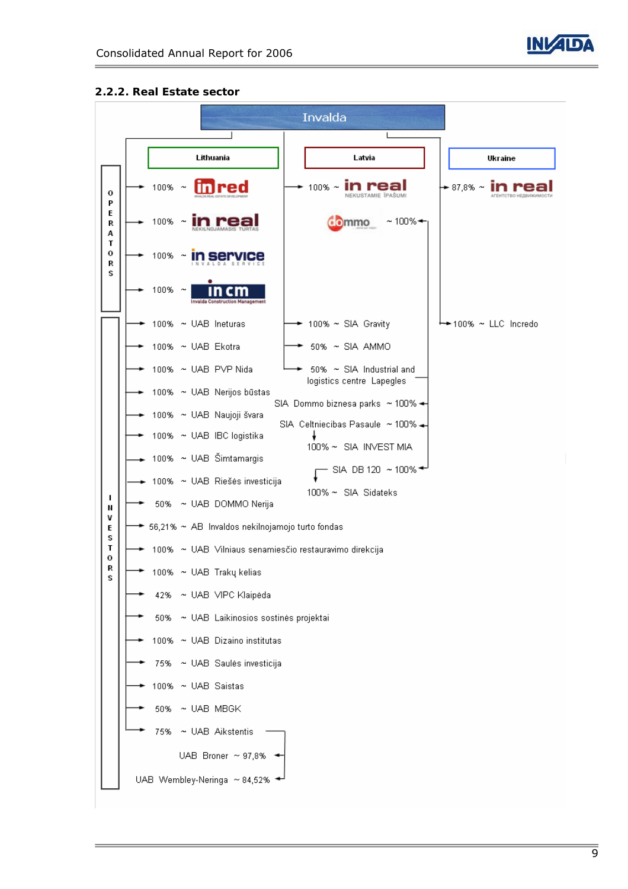

 $\begin{array}{c} \hline \end{array}$ 

### **2.2.2. Real Estate sector**

| Invalda          |  |           |                                                        |                                                                       |                      |
|------------------|--|-----------|--------------------------------------------------------|-----------------------------------------------------------------------|----------------------|
|                  |  |           |                                                        |                                                                       |                      |
|                  |  |           | Lithuania                                              | Latvia                                                                | Ukraine              |
| о<br>P           |  | $100\%$ ~ |                                                        | $100\%$ ~                                                             | $\div$ 87,8% $\sim$  |
| E<br>R<br>А      |  | 100%      |                                                        | $~100\%$ $\rightarrow$<br><b>Ommo</b>                                 |                      |
| Τ<br>o<br>R<br>s |  | 100%      | $\tilde{\phantom{a}}$                                  |                                                                       |                      |
|                  |  | $100\%$ ~ |                                                        |                                                                       |                      |
|                  |  |           | 100% ~ UAB Ineturas                                    | 100% ~ SIA Gravity                                                    | ←←100% ~ LLC Incredo |
|                  |  |           | 100% ~ UAB Ekotra                                      | 50% ~ SIA AMMO                                                        |                      |
|                  |  |           | 100% ~ UAB PVP Nida                                    | 50% ~ SIA Industrial and                                              |                      |
|                  |  |           | 100% ~ UAB Nerijos būstas                              | logistics centre Lapegles                                             |                      |
|                  |  |           | 100% ~ UAB Naujoji švara                               | SIA Dommo biznesa parks ~ 100% ←<br>SIA Celtniecibas Pasaule ~ 100% - |                      |
|                  |  |           | 100% ~ UAB IBC logistika                               | 100% ~ SIA INVEST MIA                                                 |                      |
|                  |  |           | 100% ~ UAB Šimtamargis                                 | SIA DB 120 ~ 100% $\div$                                              |                      |
|                  |  |           | 100% ~ UAB Riešės investicija                          | 100% ~ SIA Sidateks                                                   |                      |
| ı<br>N           |  |           | 50% ~ UAB DOMMO Nerija                                 |                                                                       |                      |
| v<br>E<br>s      |  |           | → 56,21% ~ AB Invaldos nekilnojamojo turto fondas      |                                                                       |                      |
| Τ<br>о           |  |           | 100% ~ UAB Vilniaus senamiesčio restauravimo direkcija |                                                                       |                      |
| R<br>S           |  |           | $\bullet$ 100% $\sim$ UAB Trakų kelias                 |                                                                       |                      |
|                  |  | 42%       | ~ UAB VIPC Klaipėda                                    |                                                                       |                      |
|                  |  | 50%       | ~ UAB Laikinosios sostinės projektai                   |                                                                       |                      |
|                  |  |           | 100% ~ UAB Dizaino institutas                          |                                                                       |                      |
|                  |  | 75%       | ~ UAB Saulės investicija                               |                                                                       |                      |
|                  |  |           | 100% ~ UAB Saistas                                     |                                                                       |                      |
|                  |  | 50%       | $\sim$ UAB MBGK                                        |                                                                       |                      |
|                  |  | 75%       | ~ UAB Aikstentis                                       |                                                                       |                      |
|                  |  |           | UAB Broner $\sim$ 97,8%                                |                                                                       |                      |
|                  |  |           | UAB Wembley-Neringa ~ 84,52%                           |                                                                       |                      |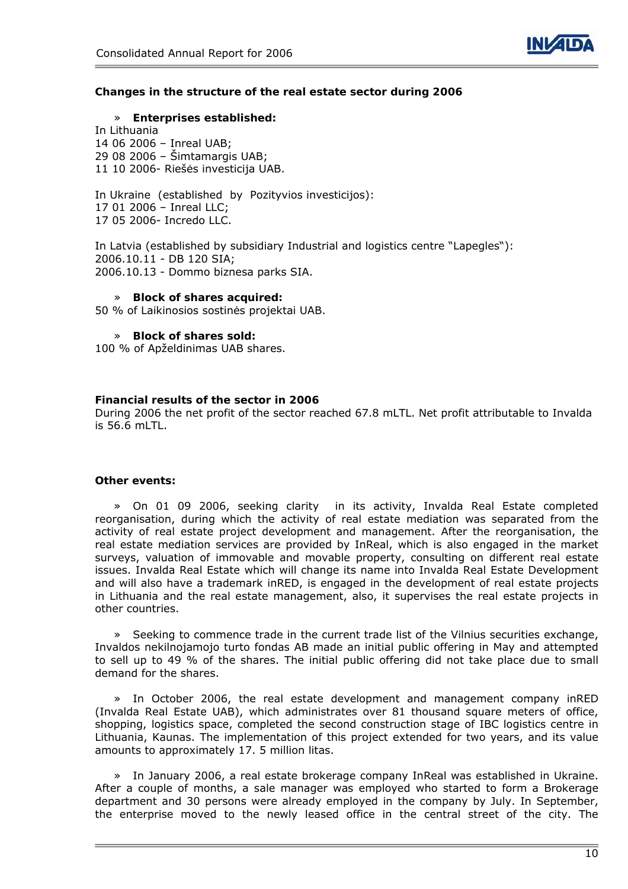

#### **Changes in the structure of the real estate sector during 2006**

#### » **Enterprises established:**

In Lithuania 14 06 2006 – Inreal UAB; 29 08 2006 – Šimtamargis UAB; 11 10 2006- Riešės investicija UAB.

In Ukraine (established by Pozityvios investicijos): 17 01 2006 – Inreal LLC; 17 05 2006- Incredo LLC.

In Latvia (established by subsidiary Industrial and logistics centre "Lapegles"): 2006.10.11 - DB 120 SIA; 2006.10.13 - Dommo biznesa parks SIA.

#### » **Block of shares acquired:**

50 % of Laikinosios sostinės projektai UAB.

#### » **Block of shares sold:**

100 % of Apželdinimas UAB shares.

#### **Financial results of the sector in 2006**

During 2006 the net profit of the sector reached 67.8 mLTL. Net profit attributable to Invalda is 56.6 mLTL.

#### **Other events:**

» On 01 09 2006, seeking clarity in its activity, Invalda Real Estate completed reorganisation, during which the activity of real estate mediation was separated from the activity of real estate project development and management. After the reorganisation, the real estate mediation services are provided by InReal, which is also engaged in the market surveys, valuation of immovable and movable property, consulting on different real estate issues. Invalda Real Estate which will change its name into Invalda Real Estate Development and will also have a trademark inRED, is engaged in the development of real estate projects in Lithuania and the real estate management, also, it supervises the real estate projects in other countries.

Seeking to commence trade in the current trade list of the Vilnius securities exchange, Invaldos nekilnojamojo turto fondas AB made an initial public offering in May and attempted to sell up to 49 % of the shares. The initial public offering did not take place due to small demand for the shares.

» In October 2006, the real estate development and management company inRED (Invalda Real Estate UAB), which administrates over 81 thousand square meters of office, shopping, logistics space, completed the second construction stage of IBC logistics centre in Lithuania, Kaunas. The implementation of this project extended for two years, and its value amounts to approximately 17. 5 million litas.

» In January 2006, a real estate brokerage company InReal was established in Ukraine. After a couple of months, a sale manager was employed who started to form a Brokerage department and 30 persons were already employed in the company by July. In September, the enterprise moved to the newly leased office in the central street of the city. The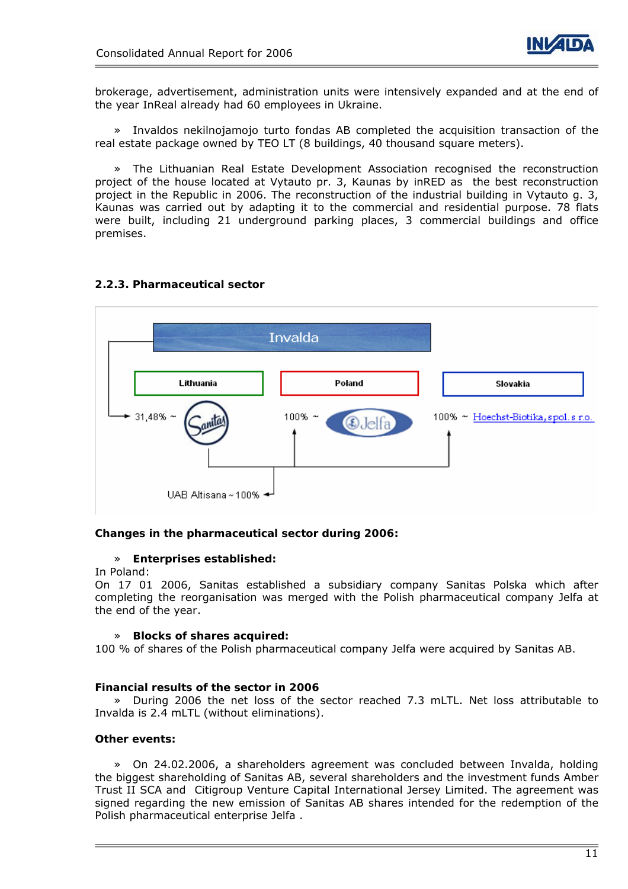

brokerage, advertisement, administration units were intensively expanded and at the end of the year InReal already had 60 employees in Ukraine.

» Invaldos nekilnojamojo turto fondas AB completed the acquisition transaction of the real estate package owned by TEO LT (8 buildings, 40 thousand square meters).

» The Lithuanian Real Estate Development Association recognised the reconstruction project of the house located at Vytauto pr. 3, Kaunas by inRED as the best reconstruction project in the Republic in 2006. The reconstruction of the industrial building in Vytauto g. 3, Kaunas was carried out by adapting it to the commercial and residential purpose. 78 flats were built, including 21 underground parking places, 3 commercial buildings and office premises.

### **2.2.3. Pharmaceutical sector**



### **Changes in the pharmaceutical sector during 2006:**

### » **Enterprises established:**

#### In Poland:

On 17 01 2006, Sanitas established a subsidiary company Sanitas Polska which after completing the reorganisation was merged with the Polish pharmaceutical company Jelfa at the end of the year.

#### » **Blocks of shares acquired:**

100 % of shares of the Polish pharmaceutical company Jelfa were acquired by Sanitas AB.

#### **Financial results of the sector in 2006**

» During 2006 the net loss of the sector reached 7.3 mLTL. Net loss attributable to Invalda is 2.4 mLTL (without eliminations).

### **Other events:**

» On 24.02.2006, a shareholders agreement was concluded between Invalda, holding the biggest shareholding of Sanitas AB, several shareholders and the investment funds Amber Trust II SCA and Citigroup Venture Capital International Jersey Limited. The agreement was signed regarding the new emission of Sanitas AB shares intended for the redemption of the Polish pharmaceutical enterprise Jelfa .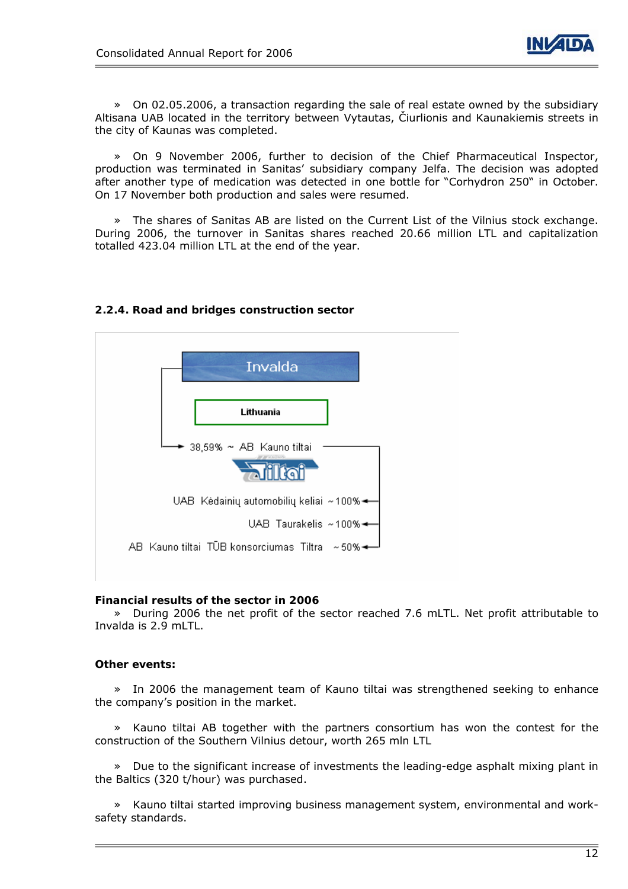

» On 02.05.2006, a transaction regarding the sale of real estate owned by the subsidiary Altisana UAB located in the territory between Vytautas, Čiurlionis and Kaunakiemis streets in the city of Kaunas was completed.

» On 9 November 2006, further to decision of the Chief Pharmaceutical Inspector, production was terminated in Sanitas' subsidiary company Jelfa. The decision was adopted after another type of medication was detected in one bottle for "Corhydron 250" in October. On 17 November both production and sales were resumed.

» The shares of Sanitas AB are listed on the Current List of the Vilnius stock exchange. During 2006, the turnover in Sanitas shares reached 20.66 million LTL and capitalization totalled 423.04 million LTL at the end of the year.



### **2.2.4. Road and bridges construction sector**

### **Financial results of the sector in 2006**

» During 2006 the net profit of the sector reached 7.6 mLTL. Net profit attributable to Invalda is 2.9 mLTL.

### **Other events:**

» In 2006 the management team of Kauno tiltai was strengthened seeking to enhance the company's position in the market.

» Kauno tiltai AB together with the partners consortium has won the contest for the construction of the Southern Vilnius detour, worth 265 mln LTL

» Due to the significant increase of investments the leading-edge asphalt mixing plant in the Baltics (320 t/hour) was purchased.

» Kauno tiltai started improving business management system, environmental and worksafety standards.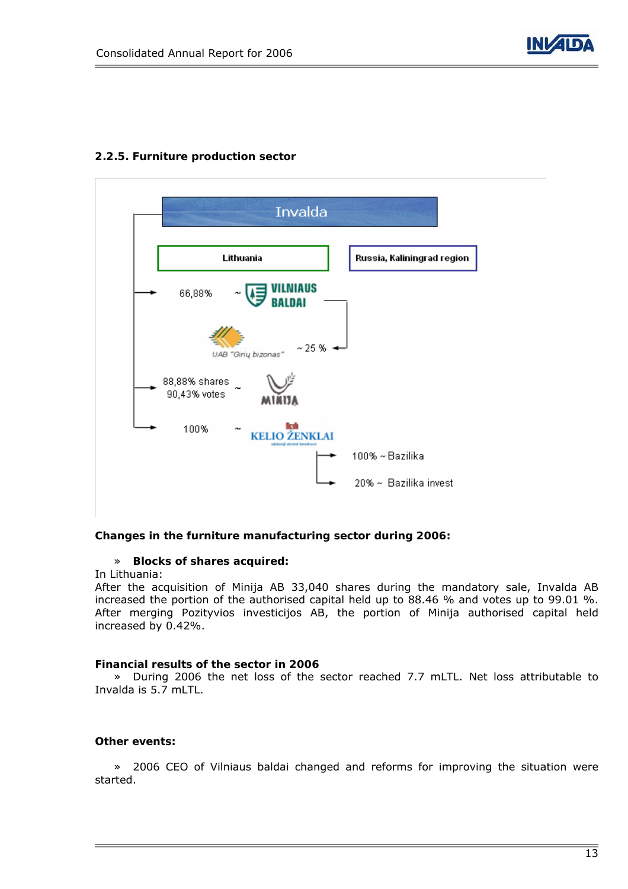

### **2.2.5. Furniture production sector**



### **Changes in the furniture manufacturing sector during 2006:**

### » **Blocks of shares acquired:**

In Lithuania:

After the acquisition of Minija AB 33,040 shares during the mandatory sale, Invalda AB increased the portion of the authorised capital held up to 88.46 % and votes up to 99.01 %. After merging Pozityvios investicijos AB, the portion of Minija authorised capital held increased by 0.42%.

#### **Financial results of the sector in 2006**

» During 2006 the net loss of the sector reached 7.7 mLTL. Net loss attributable to Invalda is 5.7 mLTL.

#### **Other events:**

» 2006 CEO of Vilniaus baldai changed and reforms for improving the situation were started.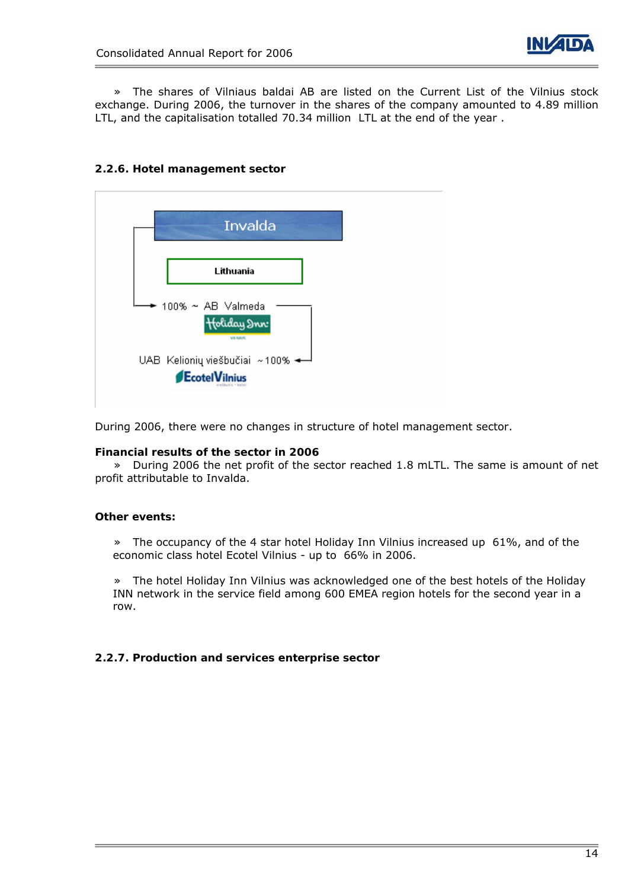

» The shares of Vilniaus baldai AB are listed on the Current List of the Vilnius stock exchange. During 2006, the turnover in the shares of the company amounted to 4.89 million LTL, and the capitalisation totalled 70.34 million LTL at the end of the year .

### **2.2.6. Hotel management sector**



During 2006, there were no changes in structure of hotel management sector.

### **Financial results of the sector in 2006**

» During 2006 the net profit of the sector reached 1.8 mLTL. The same is amount of net profit attributable to Invalda.

### **Other events:**

» The occupancy of the 4 star hotel Holiday Inn Vilnius increased up 61%, and of the economic class hotel Ecotel Vilnius - up to 66% in 2006.

» The hotel Holiday Inn Vilnius was acknowledged one of the best hotels of the Holiday INN network in the service field among 600 EMEA region hotels for the second year in a row.

### **2.2.7. Production and services enterprise sector**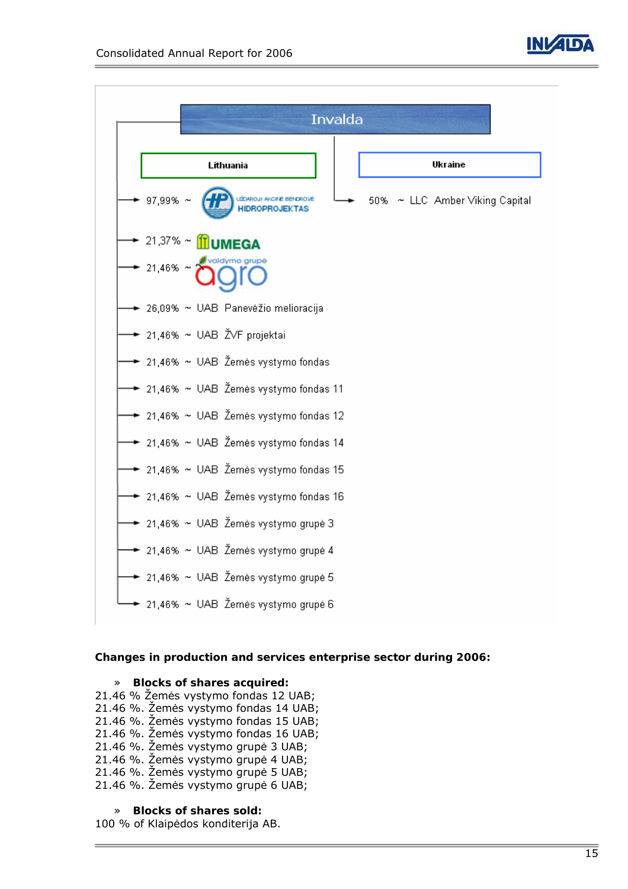



### **Changes in production and services enterprise sector during 2006:**

#### » **Blocks of shares acquired:**

21.46 % Žemės vystymo fondas 12 UAB; 21.46 %. Žemės vystymo fondas 14 UAB; 21.46 %. Žemės vystymo fondas 15 UAB; 21.46 %. Žemės vystymo fondas 16 UAB; 21.46 %. Žemės vystymo grupė 3 UAB; 21.46 %. Žemės vystymo grupė 4 UAB; 21.46 %. Žemės vystymo grupė 5 UAB; 21.46 %. Žemės vystymo grupė 6 UAB;

### » **Blocks of shares sold:**

100 % of Klaipėdos konditerija AB.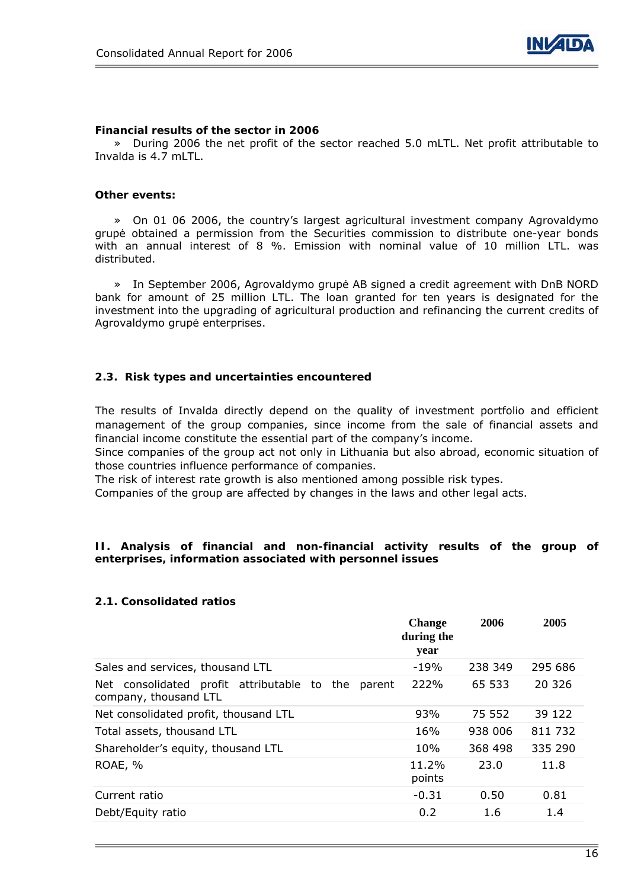

#### **Financial results of the sector in 2006**

» During 2006 the net profit of the sector reached 5.0 mLTL. Net profit attributable to Invalda is 4.7 mLTL.

#### **Other events:**

» On 01 06 2006, the country's largest agricultural investment company Agrovaldymo grupė obtained a permission from the Securities commission to distribute one-year bonds with an annual interest of 8 %. Emission with nominal value of 10 million LTL. was distributed.

» In September 2006, Agrovaldymo grupė AB signed a credit agreement with DnB NORD bank for amount of 25 million LTL. The loan granted for ten years is designated for the investment into the upgrading of agricultural production and refinancing the current credits of Agrovaldymo grupė enterprises.

#### **2.3. Risk types and uncertainties encountered**

The results of Invalda directly depend on the quality of investment portfolio and efficient management of the group companies, since income from the sale of financial assets and financial income constitute the essential part of the company's income.

Since companies of the group act not only in Lithuania but also abroad, economic situation of those countries influence performance of companies.

The risk of interest rate growth is also mentioned among possible risk types.

Companies of the group are affected by changes in the laws and other legal acts.

#### **II. Analysis of financial and non-financial activity results of the group of enterprises, information associated with personnel issues**

#### **2.1. Consolidated ratios**

|                                                                                   | <b>Change</b><br>during the<br>year | 2006    | 2005    |
|-----------------------------------------------------------------------------------|-------------------------------------|---------|---------|
| Sales and services, thousand LTL                                                  | $-19%$                              | 238 349 | 295 686 |
| consolidated profit attributable to the<br>Net<br>parent<br>company, thousand LTL | 222%                                | 65 533  | 20 3 26 |
| Net consolidated profit, thousand LTL                                             | 93%                                 | 75 552  | 39 122  |
| Total assets, thousand LTL                                                        | 16%                                 | 938 006 | 811 732 |
| Shareholder's equity, thousand LTL                                                | 10%                                 | 368 498 | 335 290 |
| ROAE, %                                                                           | 11.2%<br>points                     | 23.0    | 11.8    |
| Current ratio                                                                     | $-0.31$                             | 0.50    | 0.81    |
| Debt/Equity ratio                                                                 | 0.2                                 | 1.6     | 1.4     |
|                                                                                   |                                     |         |         |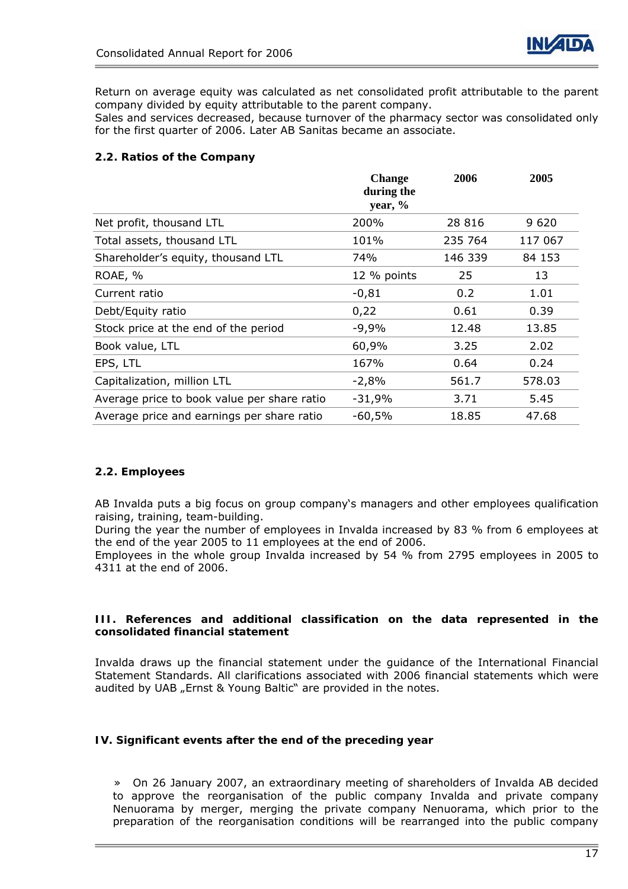

Return on average equity was calculated as net consolidated profit attributable to the parent company divided by equity attributable to the parent company.

Sales and services decreased, because turnover of the pharmacy sector was consolidated only for the first quarter of 2006. Later AB Sanitas became an associate.

### **2.2. Ratios of the Company**

|                                             | <b>Change</b><br>during the | 2006    | 2005    |
|---------------------------------------------|-----------------------------|---------|---------|
|                                             | year, $\%$                  |         |         |
| Net profit, thousand LTL                    | 200%                        | 28 8 16 | 9620    |
| Total assets, thousand LTL                  | 101%                        | 235 764 | 117 067 |
| Shareholder's equity, thousand LTL          | 74%                         | 146 339 | 84 153  |
| ROAE, %                                     | 12 % points                 | 25      | 13      |
| Current ratio                               | $-0,81$                     | 0.2     | 1.01    |
| Debt/Equity ratio                           | 0,22                        | 0.61    | 0.39    |
| Stock price at the end of the period        | $-9,9%$                     | 12.48   | 13.85   |
| Book value, LTL                             | 60,9%                       | 3.25    | 2.02    |
| EPS, LTL                                    | 167%                        | 0.64    | 0.24    |
| Capitalization, million LTL                 | $-2,8%$                     | 561.7   | 578.03  |
| Average price to book value per share ratio | $-31,9%$                    | 3.71    | 5.45    |
| Average price and earnings per share ratio  | -60,5%                      | 18.85   | 47.68   |

### **2.2. Employees**

AB Invalda puts a big focus on group company's managers and other employees qualification raising, training, team-building.

During the year the number of employees in Invalda increased by 83 % from 6 employees at the end of the year 2005 to 11 employees at the end of 2006.

Employees in the whole group Invalda increased by 54 % from 2795 employees in 2005 to 4311 at the end of 2006.

### **III. References and additional classification on the data represented in the consolidated financial statement**

Invalda draws up the financial statement under the guidance of the International Financial Statement Standards. All clarifications associated with 2006 financial statements which were audited by UAB "Ernst & Young Baltic" are provided in the notes.

### **IV. Significant events after the end of the preceding year**

» On 26 January 2007, an extraordinary meeting of shareholders of Invalda AB decided to approve the reorganisation of the public company Invalda and private company Nenuorama by merger, merging the private company Nenuorama, which prior to the preparation of the reorganisation conditions will be rearranged into the public company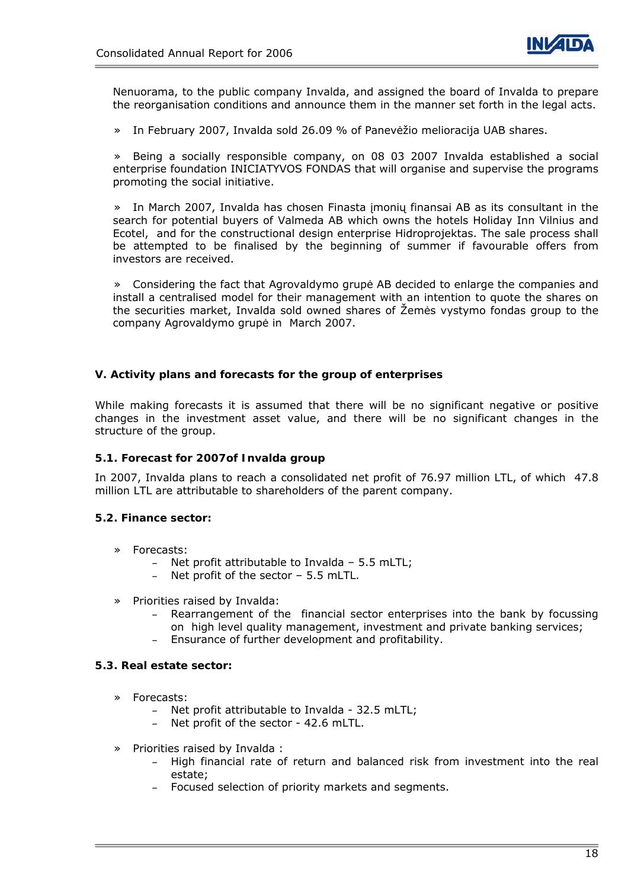

Nenuorama, to the public company Invalda, and assigned the board of Invalda to prepare the reorganisation conditions and announce them in the manner set forth in the legal acts.

» In February 2007, Invalda sold 26.09 % of Panevėžio melioracija UAB shares.

» Being a socially responsible company, on 08 03 2007 Invalda established a social enterprise foundation INICIATYVOS FONDAS that will organise and supervise the programs promoting the social initiative.

In March 2007, Invalda has chosen Finasta įmonių finansai AB as its consultant in the search for potential buyers of Valmeda AB which owns the hotels Holiday Inn Vilnius and Ecotel, and for the constructional design enterprise Hidroprojektas. The sale process shall be attempted to be finalised by the beginning of summer if favourable offers from investors are received.

» Considering the fact that Agrovaldymo grupė AB decided to enlarge the companies and install a centralised model for their management with an intention to quote the shares on the securities market, Invalda sold owned shares of Žemės vystymo fondas group to the company Agrovaldymo grupė in March 2007.

#### **V. Activity plans and forecasts for the group of enterprises**

While making forecasts it is assumed that there will be no significant negative or positive changes in the investment asset value, and there will be no significant changes in the structure of the group.

#### **5.1. Forecast for 2007of Invalda group**

In 2007, Invalda plans to reach a consolidated net profit of 76.97 million LTL, of which 47.8 million LTL are attributable to shareholders of the parent company.

#### **5.2. Finance sector:**

- » Forecasts:
	- Net profit attributable to Invalda 5.5 mLTL;
	- Net profit of the sector 5.5 mLTL.
- » Priorities raised by Invalda:
	- Rearrangement of the financial sector enterprises into the bank by focussing on high level quality management, investment and private banking services;
	- Ensurance of further development and profitability.

#### **5.3. Real estate sector:**

- » Forecasts:
	- Net profit attributable to Invalda 32.5 mLTL;
	- Net profit of the sector 42.6 mLTL.
- » Priorities raised by Invalda :
	- High financial rate of return and balanced risk from investment into the real estate;
	- Focused selection of priority markets and segments.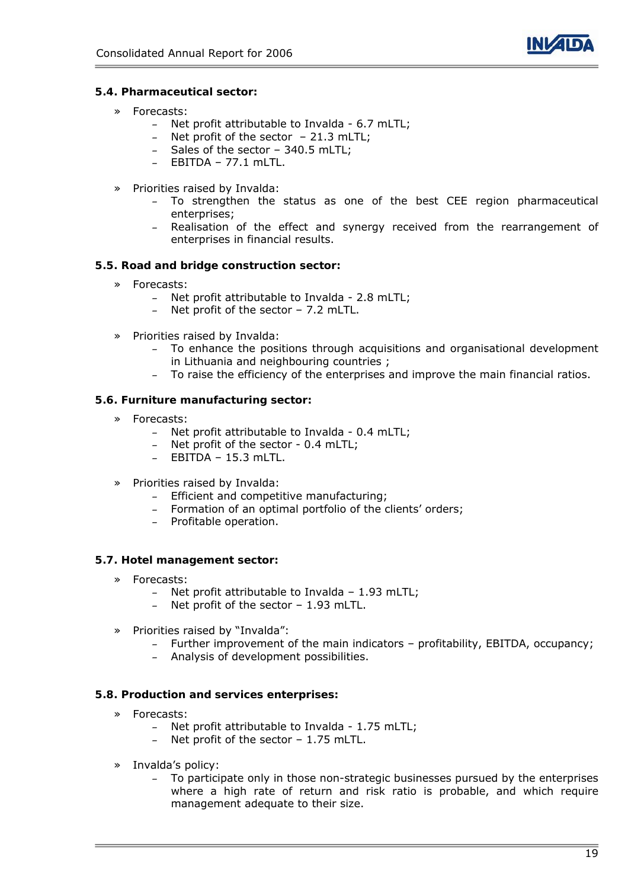

### **5.4. Pharmaceutical sector:**

- » Forecasts:
	- Net profit attributable to Invalda 6.7 mLTL;
	- Net profit of the sector 21.3 mLTL;
	- Sales of the sector 340.5 mLTL;
	- $-$  EBITDA  $-$  77.1 mLTL.
- » Priorities raised by Invalda:
	- To strengthen the status as one of the best CEE region pharmaceutical enterprises;
	- Realisation of the effect and synergy received from the rearrangement of enterprises in financial results.

### **5.5. Road and bridge construction sector:**

- » Forecasts:
	- Net profit attributable to Invalda 2.8 mLTL;
	- Net profit of the sector 7.2 mLTL.
- » Priorities raised by Invalda:
	- To enhance the positions through acquisitions and organisational development in Lithuania and neighbouring countries ;
	- To raise the efficiency of the enterprises and improve the main financial ratios.

### **5.6. Furniture manufacturing sector:**

- » Forecasts:
	- Net profit attributable to Invalda 0.4 mLTL;
	- Net profit of the sector 0.4 mLTL;
	- EBITDA 15.3 mLTL.
- » Priorities raised by Invalda:
	- Efficient and competitive manufacturing;
	- Formation of an optimal portfolio of the clients' orders;
	- Profitable operation.

### **5.7. Hotel management sector:**

- » Forecasts:
	- Net profit attributable to Invalda 1.93 mLTL;
	- Net profit of the sector 1.93 mLTL.
- » Priorities raised by "Invalda":
	- Further improvement of the main indicators profitability, EBITDA, occupancy;
	- Analysis of development possibilities.

### **5.8. Production and services enterprises:**

- » Forecasts:
	- Net profit attributable to Invalda 1.75 mLTL;
	- Net profit of the sector  $-1.75$  mLTL.
- » Invalda's policy:
	- To participate only in those non-strategic businesses pursued by the enterprises where a high rate of return and risk ratio is probable, and which require management adequate to their size.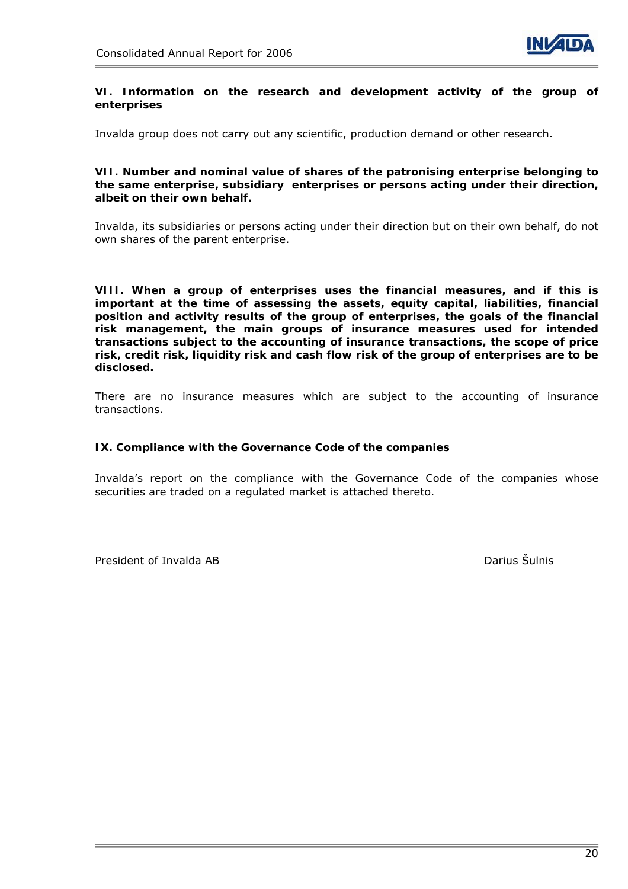

#### **VI. Information on the research and development activity of the group of enterprises**

Invalda group does not carry out any scientific, production demand or other research.

**VII. Number and nominal value of shares of the patronising enterprise belonging to the same enterprise, subsidiary enterprises or persons acting under their direction, albeit on their own behalf.** 

Invalda, its subsidiaries or persons acting under their direction but on their own behalf, do not own shares of the parent enterprise.

**VIII. When a group of enterprises uses the financial measures, and if this is important at the time of assessing the assets, equity capital, liabilities, financial position and activity results of the group of enterprises, the goals of the financial risk management, the main groups of insurance measures used for intended transactions subject to the accounting of insurance transactions, the scope of price risk, credit risk, liquidity risk and cash flow risk of the group of enterprises are to be disclosed.**

There are no insurance measures which are subject to the accounting of insurance transactions.

#### **IX. Compliance with the Governance Code of the companies**

Invalda's report on the compliance with the Governance Code of the companies whose securities are traded on a regulated market is attached thereto.

President of Invalda AB Darius Šulnis Darius Šulnis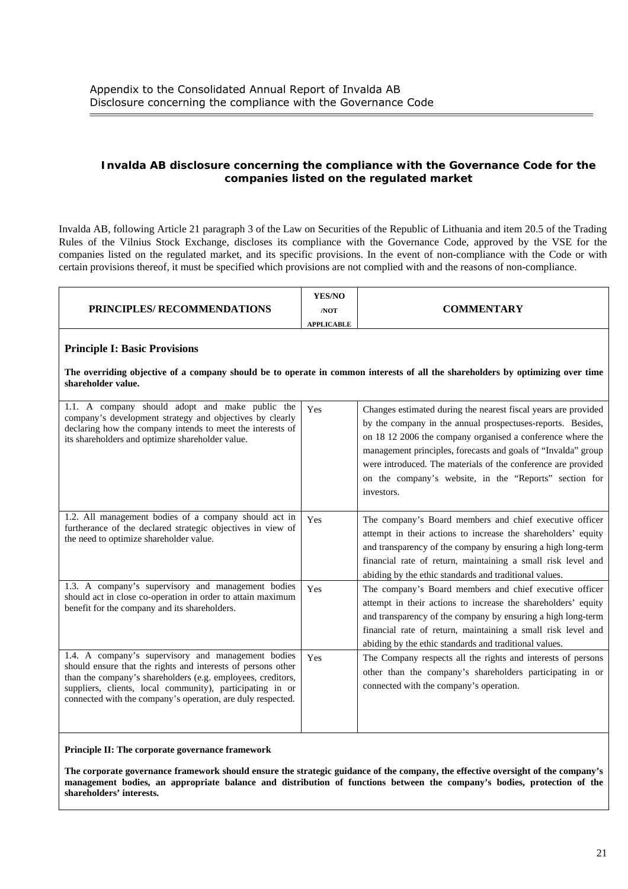#### **Invalda AB disclosure concerning the compliance with the Governance Code for the companies listed on the regulated market**

Invalda AB, following Article 21 paragraph 3 of the Law on Securities of the Republic of Lithuania and item 20.5 of the Trading Rules of the Vilnius Stock Exchange, discloses its compliance with the Governance Code, approved by the VSE for the companies listed on the regulated market, and its specific provisions. In the event of non-compliance with the Code or with certain provisions thereof, it must be specified which provisions are not complied with and the reasons of non-compliance.

|  | <b>PRINCIPLES/ RECOMMENDATIONS</b> | <b>YES/NO</b><br>/NOT<br><b>APPLICABLE</b> | COMMENTARY |
|--|------------------------------------|--------------------------------------------|------------|
|--|------------------------------------|--------------------------------------------|------------|

#### **Principle I: Basic Provisions**

**The overriding objective of a company should be to operate in common interests of all the shareholders by optimizing over time shareholder value.** 

| 1.1. A company should adopt and make public the<br>company's development strategy and objectives by clearly<br>declaring how the company intends to meet the interests of<br>its shareholders and optimize shareholder value.                                                                                 | Yes | Changes estimated during the nearest fiscal years are provided<br>by the company in the annual prospectuses-reports. Besides,<br>on 18 12 2006 the company organised a conference where the<br>management principles, forecasts and goals of "Invalda" group<br>were introduced. The materials of the conference are provided<br>on the company's website, in the "Reports" section for<br>investors. |
|---------------------------------------------------------------------------------------------------------------------------------------------------------------------------------------------------------------------------------------------------------------------------------------------------------------|-----|-------------------------------------------------------------------------------------------------------------------------------------------------------------------------------------------------------------------------------------------------------------------------------------------------------------------------------------------------------------------------------------------------------|
| 1.2. All management bodies of a company should act in<br>furtherance of the declared strategic objectives in view of<br>the need to optimize shareholder value.                                                                                                                                               | Yes | The company's Board members and chief executive officer<br>attempt in their actions to increase the shareholders' equity<br>and transparency of the company by ensuring a high long-term<br>financial rate of return, maintaining a small risk level and<br>abiding by the ethic standards and traditional values.                                                                                    |
| 1.3. A company's supervisory and management bodies<br>should act in close co-operation in order to attain maximum<br>benefit for the company and its shareholders.                                                                                                                                            | Yes | The company's Board members and chief executive officer<br>attempt in their actions to increase the shareholders' equity<br>and transparency of the company by ensuring a high long-term<br>financial rate of return, maintaining a small risk level and<br>abiding by the ethic standards and traditional values.                                                                                    |
| 1.4. A company's supervisory and management bodies<br>should ensure that the rights and interests of persons other<br>than the company's shareholders (e.g. employees, creditors,<br>suppliers, clients, local community), participating in or<br>connected with the company's operation, are duly respected. | Yes | The Company respects all the rights and interests of persons<br>other than the company's shareholders participating in or<br>connected with the company's operation.                                                                                                                                                                                                                                  |

**Principle II: The corporate governance framework** 

**The corporate governance framework should ensure the strategic guidance of the company, the effective oversight of the company's management bodies, an appropriate balance and distribution of functions between the company's bodies, protection of the shareholders' interests.**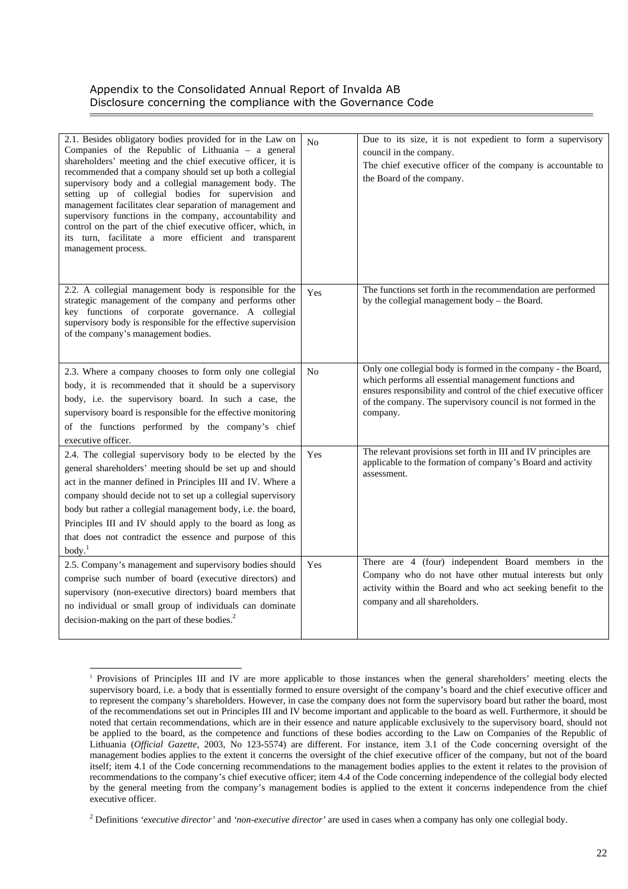| 2.1. Besides obligatory bodies provided for in the Law on<br>Companies of the Republic of Lithuania - a general<br>shareholders' meeting and the chief executive officer, it is<br>recommended that a company should set up both a collegial<br>supervisory body and a collegial management body. The<br>setting up of collegial bodies for supervision and<br>management facilitates clear separation of management and<br>supervisory functions in the company, accountability and<br>control on the part of the chief executive officer, which, in<br>its turn, facilitate a more efficient and transparent<br>management process. | N <sub>o</sub> | Due to its size, it is not expedient to form a supervisory<br>council in the company.<br>The chief executive officer of the company is accountable to<br>the Board of the company.                                                                                      |
|---------------------------------------------------------------------------------------------------------------------------------------------------------------------------------------------------------------------------------------------------------------------------------------------------------------------------------------------------------------------------------------------------------------------------------------------------------------------------------------------------------------------------------------------------------------------------------------------------------------------------------------|----------------|-------------------------------------------------------------------------------------------------------------------------------------------------------------------------------------------------------------------------------------------------------------------------|
| 2.2. A collegial management body is responsible for the<br>strategic management of the company and performs other<br>key functions of corporate governance. A collegial<br>supervisory body is responsible for the effective supervision<br>of the company's management bodies.                                                                                                                                                                                                                                                                                                                                                       | Yes            | The functions set forth in the recommendation are performed<br>by the collegial management body - the Board.                                                                                                                                                            |
| 2.3. Where a company chooses to form only one collegial<br>body, it is recommended that it should be a supervisory<br>body, i.e. the supervisory board. In such a case, the<br>supervisory board is responsible for the effective monitoring<br>of the functions performed by the company's chief<br>executive officer.                                                                                                                                                                                                                                                                                                               | No             | Only one collegial body is formed in the company - the Board,<br>which performs all essential management functions and<br>ensures responsibility and control of the chief executive officer<br>of the company. The supervisory council is not formed in the<br>company. |
| 2.4. The collegial supervisory body to be elected by the<br>general shareholders' meeting should be set up and should<br>act in the manner defined in Principles III and IV. Where a<br>company should decide not to set up a collegial supervisory<br>body but rather a collegial management body, i.e. the board,<br>Principles III and IV should apply to the board as long as<br>that does not contradict the essence and purpose of this<br>body. <sup>1</sup>                                                                                                                                                                   | Yes            | The relevant provisions set forth in III and IV principles are<br>applicable to the formation of company's Board and activity<br>assessment.                                                                                                                            |
| 2.5. Company's management and supervisory bodies should<br>comprise such number of board (executive directors) and<br>supervisory (non-executive directors) board members that<br>no individual or small group of individuals can dominate<br>decision-making on the part of these bodies. <sup>2</sup>                                                                                                                                                                                                                                                                                                                               | Yes            | There are 4 (four) independent Board members in the<br>Company who do not have other mutual interests but only<br>activity within the Board and who act seeking benefit to the<br>company and all shareholders.                                                         |

<sup>1</sup> Provisions of Principles III and IV are more applicable to those instances when the general shareholders' meeting elects the supervisory board, i.e. a body that is essentially formed to ensure oversight of the company's board and the chief executive officer and to represent the company's shareholders. However, in case the company does not form the supervisory board but rather the board, most of the recommendations set out in Principles III and IV become important and applicable to the board as well. Furthermore, it should be noted that certain recommendations, which are in their essence and nature applicable exclusively to the supervisory board, should not be applied to the board, as the competence and functions of these bodies according to the Law on Companies of the Republic of Lithuania (*Official Gazette*, 2003, No 123-5574) are different. For instance, item 3.1 of the Code concerning oversight of the management bodies applies to the extent it concerns the oversight of the chief executive officer of the company, but not of the board itself; item 4.1 of the Code concerning recommendations to the management bodies applies to the extent it relates to the provision of recommendations to the company's chief executive officer; item 4.4 of the Code concerning independence of the collegial body elected by the general meeting from the company's management bodies is applied to the extent it concerns independence from the chief executive officer.

2 Definitions *'executive director'* and *'non-executive director'* are used in cases when a company has only one collegial body.

l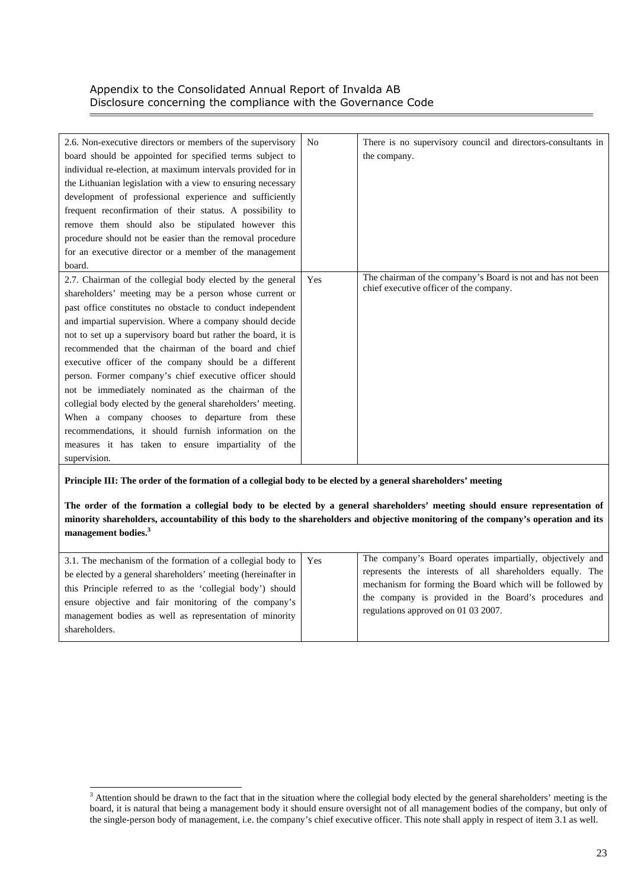| 2.6. Non-executive directors or members of the supervisory    | N <sub>0</sub> | There is no supervisory council and directors-consultants in |
|---------------------------------------------------------------|----------------|--------------------------------------------------------------|
| board should be appointed for specified terms subject to      |                | the company.                                                 |
| individual re-election, at maximum intervals provided for in  |                |                                                              |
| the Lithuanian legislation with a view to ensuring necessary  |                |                                                              |
| development of professional experience and sufficiently       |                |                                                              |
| frequent reconfirmation of their status. A possibility to     |                |                                                              |
| remove them should also be stipulated however this            |                |                                                              |
| procedure should not be easier than the removal procedure     |                |                                                              |
| for an executive director or a member of the management       |                |                                                              |
| board.                                                        |                |                                                              |
| 2.7. Chairman of the collegial body elected by the general    | Yes            | The chairman of the company's Board is not and has not been  |
| shareholders' meeting may be a person whose current or        |                | chief executive officer of the company.                      |
| past office constitutes no obstacle to conduct independent    |                |                                                              |
| and impartial supervision. Where a company should decide      |                |                                                              |
| not to set up a supervisory board but rather the board, it is |                |                                                              |
| recommended that the chairman of the board and chief          |                |                                                              |
| executive officer of the company should be a different        |                |                                                              |
| person. Former company's chief executive officer should       |                |                                                              |
| not be immediately nominated as the chairman of the           |                |                                                              |
| collegial body elected by the general shareholders' meeting.  |                |                                                              |
| When a company chooses to departure from these                |                |                                                              |
| recommendations, it should furnish information on the         |                |                                                              |
| measures it has taken to ensure impartiality of the           |                |                                                              |
| supervision.                                                  |                |                                                              |

**Principle III: The order of the formation of a collegial body to be elected by a general shareholders' meeting** 

**The order of the formation a collegial body to be elected by a general shareholders' meeting should ensure representation of minority shareholders, accountability of this body to the shareholders and objective monitoring of the company's operation and its management bodies.<sup>3</sup>**

| 3.1. The mechanism of the formation of a collegial body to   Yes                                                    | The company's Board operates impartially, objectively and                                                              |
|---------------------------------------------------------------------------------------------------------------------|------------------------------------------------------------------------------------------------------------------------|
| be elected by a general shareholders' meeting (hereinafter in                                                       | represents the interests of all shareholders equally. The<br>mechanism for forming the Board which will be followed by |
| this Principle referred to as the 'collegial body') should<br>ensure objective and fair monitoring of the company's | the company is provided in the Board's procedures and                                                                  |
| management bodies as well as representation of minority<br>shareholders.                                            | regulations approved on 01 03 2007.                                                                                    |

<sup>&</sup>lt;sup>3</sup> Attention should be drawn to the fact that in the situation where the collegial body elected by the general shareholders' meeting is the board, it is natural that being a management body it should ensure oversight not of all management bodies of the company, but only of the single-person body of management, i.e. the company's chief executive officer. This note shall apply in respect of item 3.1 as well.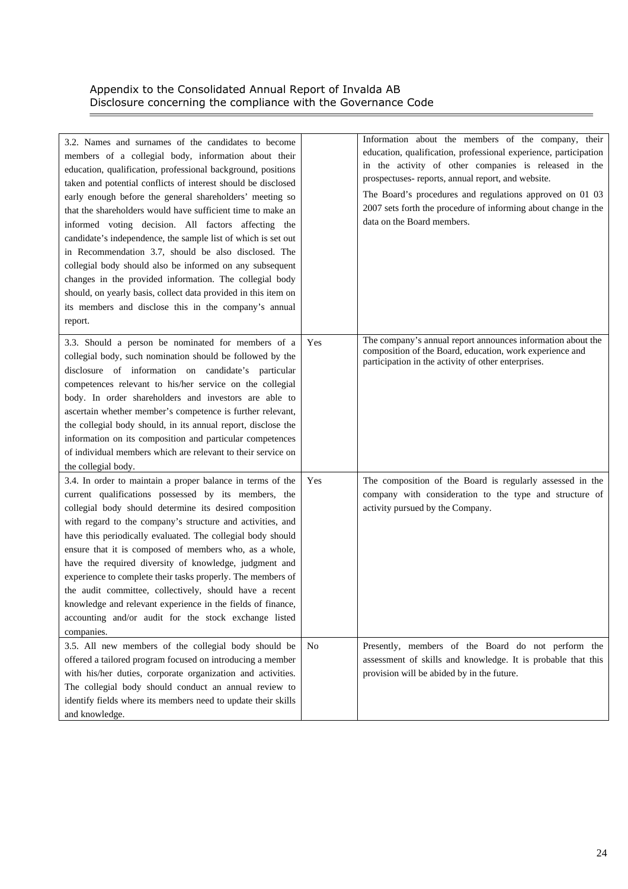$\equiv$ 

| 3.2. Names and surnames of the candidates to become<br>members of a collegial body, information about their<br>education, qualification, professional background, positions<br>taken and potential conflicts of interest should be disclosed<br>early enough before the general shareholders' meeting so<br>that the shareholders would have sufficient time to make an<br>informed voting decision. All factors affecting the<br>candidate's independence, the sample list of which is set out<br>in Recommendation 3.7, should be also disclosed. The<br>collegial body should also be informed on any subsequent<br>changes in the provided information. The collegial body<br>should, on yearly basis, collect data provided in this item on<br>its members and disclose this in the company's annual<br>report. |                | Information about the members of the company, their<br>education, qualification, professional experience, participation<br>in the activity of other companies is released in the<br>prospectuses-reports, annual report, and website.<br>The Board's procedures and regulations approved on 01 03<br>2007 sets forth the procedure of informing about change in the<br>data on the Board members. |
|----------------------------------------------------------------------------------------------------------------------------------------------------------------------------------------------------------------------------------------------------------------------------------------------------------------------------------------------------------------------------------------------------------------------------------------------------------------------------------------------------------------------------------------------------------------------------------------------------------------------------------------------------------------------------------------------------------------------------------------------------------------------------------------------------------------------|----------------|---------------------------------------------------------------------------------------------------------------------------------------------------------------------------------------------------------------------------------------------------------------------------------------------------------------------------------------------------------------------------------------------------|
| 3.3. Should a person be nominated for members of a<br>collegial body, such nomination should be followed by the<br>disclosure of information on candidate's particular<br>competences relevant to his/her service on the collegial<br>body. In order shareholders and investors are able to<br>ascertain whether member's competence is further relevant,<br>the collegial body should, in its annual report, disclose the<br>information on its composition and particular competences<br>of individual members which are relevant to their service on<br>the collegial body.                                                                                                                                                                                                                                       | Yes            | The company's annual report announces information about the<br>composition of the Board, education, work experience and<br>participation in the activity of other enterprises.                                                                                                                                                                                                                    |
| 3.4. In order to maintain a proper balance in terms of the<br>current qualifications possessed by its members, the<br>collegial body should determine its desired composition<br>with regard to the company's structure and activities, and<br>have this periodically evaluated. The collegial body should<br>ensure that it is composed of members who, as a whole,<br>have the required diversity of knowledge, judgment and<br>experience to complete their tasks properly. The members of<br>the audit committee, collectively, should have a recent<br>knowledge and relevant experience in the fields of finance,<br>accounting and/or audit for the stock exchange listed<br>companies.                                                                                                                       | Yes            | The composition of the Board is regularly assessed in the<br>company with consideration to the type and structure of<br>activity pursued by the Company.                                                                                                                                                                                                                                          |
| 3.5. All new members of the collegial body should be<br>offered a tailored program focused on introducing a member<br>with his/her duties, corporate organization and activities.<br>The collegial body should conduct an annual review to<br>identify fields where its members need to update their skills<br>and knowledge.                                                                                                                                                                                                                                                                                                                                                                                                                                                                                        | N <sub>0</sub> | Presently, members of the Board do not perform the<br>assessment of skills and knowledge. It is probable that this<br>provision will be abided by in the future.                                                                                                                                                                                                                                  |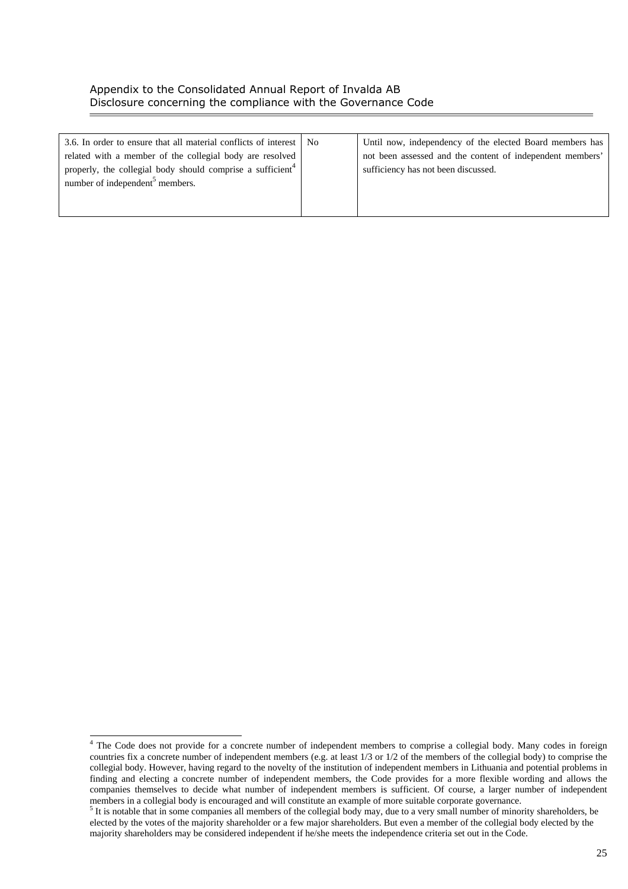| 3.6. In order to ensure that all material conflicts of interest   No   | Until now, independency of the elected Board members has  |
|------------------------------------------------------------------------|-----------------------------------------------------------|
| related with a member of the collegial body are resolved               | not been assessed and the content of independent members' |
| properly, the collegial body should comprise a sufficient <sup>4</sup> | sufficiency has not been discussed.                       |
| number of independent <sup>5</sup> members.                            |                                                           |
|                                                                        |                                                           |
|                                                                        |                                                           |

 4 The Code does not provide for a concrete number of independent members to comprise a collegial body. Many codes in foreign countries fix a concrete number of independent members (e.g. at least 1/3 or 1/2 of the members of the collegial body) to comprise the collegial body. However, having regard to the novelty of the institution of independent members in Lithuania and potential problems in finding and electing a concrete number of independent members, the Code provides for a more flexible wording and allows the companies themselves to decide what number of independent members is sufficient. Of course, a larger number of independent members in a collegial body is encouraged and will constitute an example of more suitable corporate governance. 5

 $5$  It is notable that in some companies all members of the collegial body may, due to a very small number of minority shareholders, be elected by the votes of the majority shareholder or a few major shareholders. But even a member of the collegial body elected by the majority shareholders may be considered independent if he/she meets the independence criteria set out in the Code.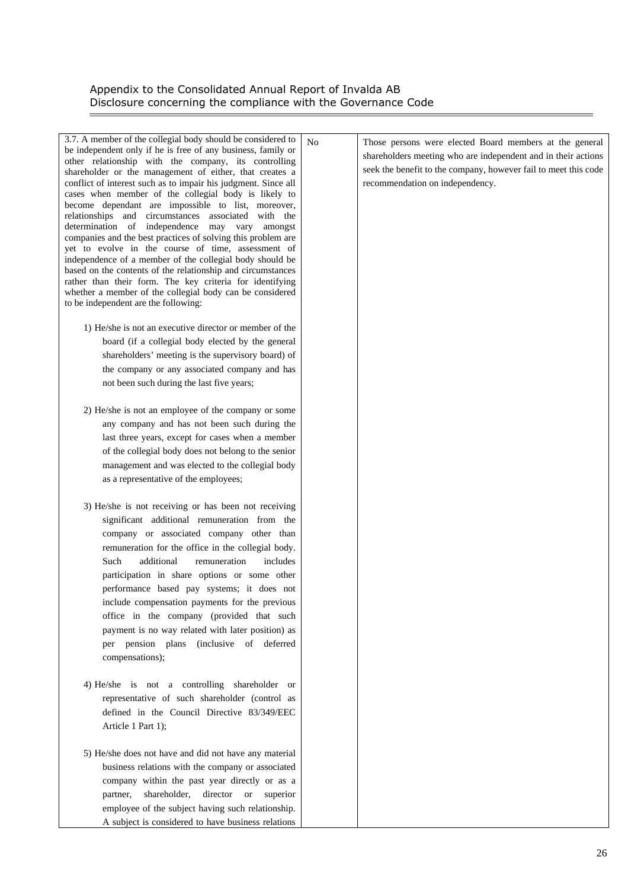$\overline{\phantom{a}}$ 

| 3.7. A member of the collegial body should be considered to<br>be independent only if he is free of any business, family or<br>other relationship with the company, its controlling<br>shareholder or the management of either, that creates a<br>conflict of interest such as to impair his judgment. Since all<br>cases when member of the collegial body is likely to<br>become dependant are impossible to list, moreover,<br>relationships and circumstances associated with the<br>determination of independence may vary<br>amongst<br>companies and the best practices of solving this problem are<br>yet to evolve in the course of time, assessment of<br>independence of a member of the collegial body should be<br>based on the contents of the relationship and circumstances<br>rather than their form. The key criteria for identifying<br>whether a member of the collegial body can be considered<br>to be independent are the following: | N <sub>o</sub> | Those persons were elected Board members at the general<br>shareholders meeting who are independent and in their actions<br>seek the benefit to the company, however fail to meet this code<br>recommendation on independency. |
|-------------------------------------------------------------------------------------------------------------------------------------------------------------------------------------------------------------------------------------------------------------------------------------------------------------------------------------------------------------------------------------------------------------------------------------------------------------------------------------------------------------------------------------------------------------------------------------------------------------------------------------------------------------------------------------------------------------------------------------------------------------------------------------------------------------------------------------------------------------------------------------------------------------------------------------------------------------|----------------|--------------------------------------------------------------------------------------------------------------------------------------------------------------------------------------------------------------------------------|
| 1) He/she is not an executive director or member of the                                                                                                                                                                                                                                                                                                                                                                                                                                                                                                                                                                                                                                                                                                                                                                                                                                                                                                     |                |                                                                                                                                                                                                                                |
|                                                                                                                                                                                                                                                                                                                                                                                                                                                                                                                                                                                                                                                                                                                                                                                                                                                                                                                                                             |                |                                                                                                                                                                                                                                |
| board (if a collegial body elected by the general                                                                                                                                                                                                                                                                                                                                                                                                                                                                                                                                                                                                                                                                                                                                                                                                                                                                                                           |                |                                                                                                                                                                                                                                |
| shareholders' meeting is the supervisory board) of                                                                                                                                                                                                                                                                                                                                                                                                                                                                                                                                                                                                                                                                                                                                                                                                                                                                                                          |                |                                                                                                                                                                                                                                |
| the company or any associated company and has                                                                                                                                                                                                                                                                                                                                                                                                                                                                                                                                                                                                                                                                                                                                                                                                                                                                                                               |                |                                                                                                                                                                                                                                |
| not been such during the last five years;                                                                                                                                                                                                                                                                                                                                                                                                                                                                                                                                                                                                                                                                                                                                                                                                                                                                                                                   |                |                                                                                                                                                                                                                                |
| 2) He/she is not an employee of the company or some                                                                                                                                                                                                                                                                                                                                                                                                                                                                                                                                                                                                                                                                                                                                                                                                                                                                                                         |                |                                                                                                                                                                                                                                |
| any company and has not been such during the                                                                                                                                                                                                                                                                                                                                                                                                                                                                                                                                                                                                                                                                                                                                                                                                                                                                                                                |                |                                                                                                                                                                                                                                |
| last three years, except for cases when a member                                                                                                                                                                                                                                                                                                                                                                                                                                                                                                                                                                                                                                                                                                                                                                                                                                                                                                            |                |                                                                                                                                                                                                                                |
| of the collegial body does not belong to the senior                                                                                                                                                                                                                                                                                                                                                                                                                                                                                                                                                                                                                                                                                                                                                                                                                                                                                                         |                |                                                                                                                                                                                                                                |
| management and was elected to the collegial body                                                                                                                                                                                                                                                                                                                                                                                                                                                                                                                                                                                                                                                                                                                                                                                                                                                                                                            |                |                                                                                                                                                                                                                                |
|                                                                                                                                                                                                                                                                                                                                                                                                                                                                                                                                                                                                                                                                                                                                                                                                                                                                                                                                                             |                |                                                                                                                                                                                                                                |
| as a representative of the employees;                                                                                                                                                                                                                                                                                                                                                                                                                                                                                                                                                                                                                                                                                                                                                                                                                                                                                                                       |                |                                                                                                                                                                                                                                |
| 3) He/she is not receiving or has been not receiving<br>significant additional remuneration from the<br>company or associated company other than<br>remuneration for the office in the collegial body.<br>additional<br>includes<br>Such<br>remuneration<br>participation in share options or some other<br>performance based pay systems; it does not<br>include compensation payments for the previous<br>office in the company (provided that such<br>payment is no way related with later position) as<br>per pension plans (inclusive of deferred<br>compensations);<br>4) He/she is not a controlling shareholder or<br>representative of such shareholder (control as<br>defined in the Council Directive 83/349/EEC<br>Article 1 Part 1);                                                                                                                                                                                                           |                |                                                                                                                                                                                                                                |
| 5) He/she does not have and did not have any material<br>business relations with the company or associated<br>company within the past year directly or as a<br>shareholder, director or<br>partner,<br>superior<br>employee of the subject having such relationship.<br>A subject is considered to have business relations                                                                                                                                                                                                                                                                                                                                                                                                                                                                                                                                                                                                                                  |                |                                                                                                                                                                                                                                |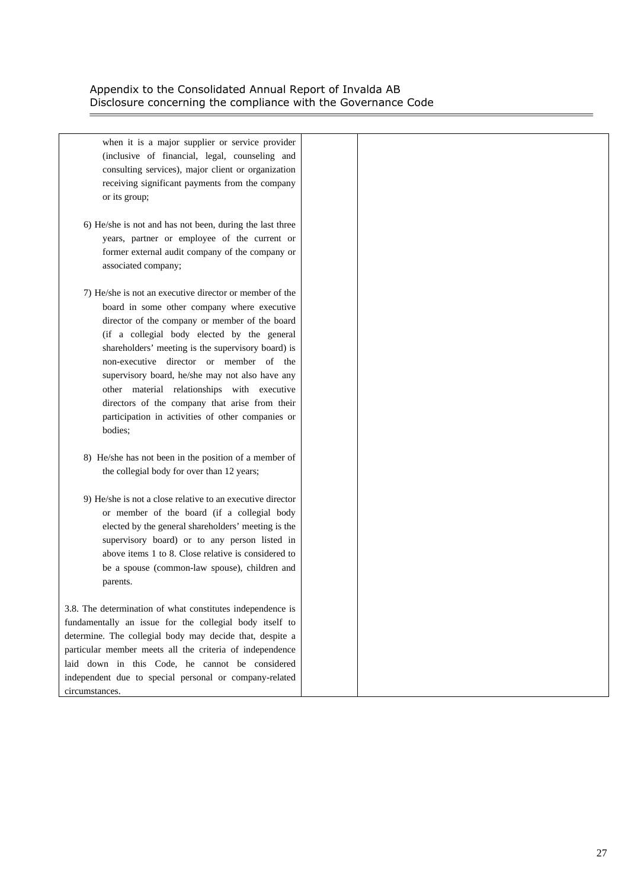Ē,

| when it is a major supplier or service provider            |  |
|------------------------------------------------------------|--|
| (inclusive of financial, legal, counseling and             |  |
| consulting services), major client or organization         |  |
| receiving significant payments from the company            |  |
| or its group;                                              |  |
|                                                            |  |
| 6) He/she is not and has not been, during the last three   |  |
| years, partner or employee of the current or               |  |
| former external audit company of the company or            |  |
| associated company;                                        |  |
|                                                            |  |
| 7) He/she is not an executive director or member of the    |  |
| board in some other company where executive                |  |
| director of the company or member of the board             |  |
| (if a collegial body elected by the general                |  |
| shareholders' meeting is the supervisory board) is         |  |
| non-executive director or member of the                    |  |
| supervisory board, he/she may not also have any            |  |
| other material relationships with executive                |  |
| directors of the company that arise from their             |  |
| participation in activities of other companies or          |  |
| bodies;                                                    |  |
|                                                            |  |
| 8) He/she has not been in the position of a member of      |  |
| the collegial body for over than 12 years;                 |  |
| 9) He/she is not a close relative to an executive director |  |
| or member of the board (if a collegial body                |  |
| elected by the general shareholders' meeting is the        |  |
| supervisory board) or to any person listed in              |  |
| above items 1 to 8. Close relative is considered to        |  |
| be a spouse (common-law spouse), children and              |  |
| parents.                                                   |  |
|                                                            |  |
| 3.8. The determination of what constitutes independence is |  |
| fundamentally an issue for the collegial body itself to    |  |
| determine. The collegial body may decide that, despite a   |  |
| particular member meets all the criteria of independence   |  |
| laid down in this Code, he cannot be considered            |  |
| independent due to special personal or company-related     |  |
| circumstances.                                             |  |
|                                                            |  |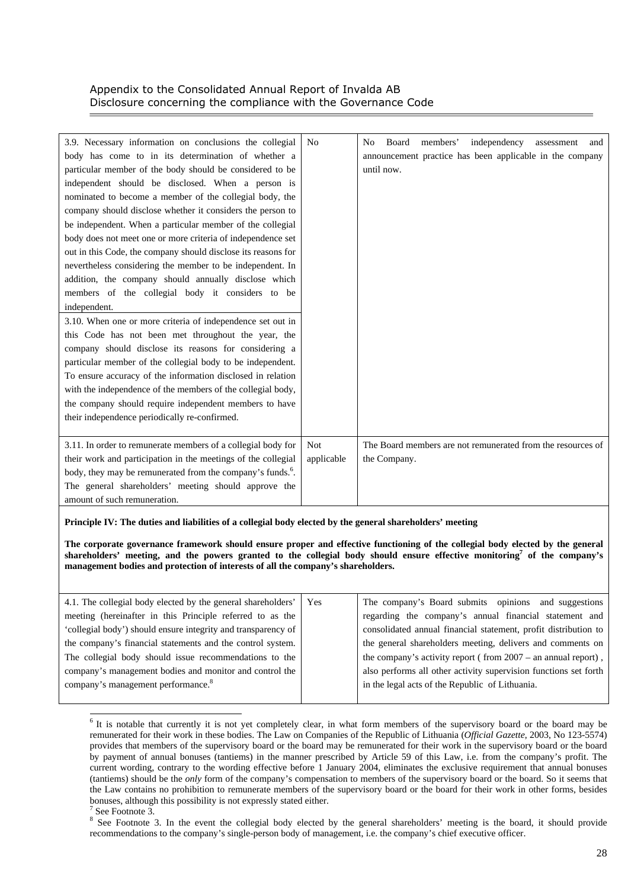| 3.9. Necessary information on conclusions the collegial                | N <sub>0</sub> | independency<br>Board<br>members'<br>N <sub>0</sub><br>assessment<br>and |
|------------------------------------------------------------------------|----------------|--------------------------------------------------------------------------|
| body has come to in its determination of whether a                     |                | announcement practice has been applicable in the company                 |
| particular member of the body should be considered to be               |                | until now.                                                               |
| independent should be disclosed. When a person is                      |                |                                                                          |
| nominated to become a member of the collegial body, the                |                |                                                                          |
| company should disclose whether it considers the person to             |                |                                                                          |
| be independent. When a particular member of the collegial              |                |                                                                          |
| body does not meet one or more criteria of independence set            |                |                                                                          |
| out in this Code, the company should disclose its reasons for          |                |                                                                          |
| nevertheless considering the member to be independent. In              |                |                                                                          |
| addition, the company should annually disclose which                   |                |                                                                          |
| members of the collegial body it considers to be                       |                |                                                                          |
| independent.                                                           |                |                                                                          |
| 3.10. When one or more criteria of independence set out in             |                |                                                                          |
| this Code has not been met throughout the year, the                    |                |                                                                          |
| company should disclose its reasons for considering a                  |                |                                                                          |
| particular member of the collegial body to be independent.             |                |                                                                          |
| To ensure accuracy of the information disclosed in relation            |                |                                                                          |
| with the independence of the members of the collegial body,            |                |                                                                          |
| the company should require independent members to have                 |                |                                                                          |
| their independence periodically re-confirmed.                          |                |                                                                          |
|                                                                        |                |                                                                          |
| 3.11. In order to remunerate members of a collegial body for           | <b>Not</b>     | The Board members are not remunerated from the resources of              |
| their work and participation in the meetings of the collegial          | applicable     | the Company.                                                             |
| body, they may be remunerated from the company's funds. <sup>6</sup> . |                |                                                                          |
| The general shareholders' meeting should approve the                   |                |                                                                          |
| amount of such remuneration.                                           |                |                                                                          |

**Principle IV: The duties and liabilities of a collegial body elected by the general shareholders' meeting** 

**The corporate governance framework should ensure proper and effective functioning of the collegial body elected by the general**   $shareholders'$  meeting, and the powers granted to the collegial body should ensure effective monitoring<sup>7</sup> of the company's **management bodies and protection of interests of all the company's shareholders.** 

| 4.1. The collegial body elected by the general shareholders'  | l Yes | The company's Board submits opinions and suggestions             |
|---------------------------------------------------------------|-------|------------------------------------------------------------------|
| meeting (hereinafter in this Principle referred to as the     |       | regarding the company's annual financial statement and           |
| 'collegial body') should ensure integrity and transparency of |       | consolidated annual financial statement, profit distribution to  |
| the company's financial statements and the control system.    |       | the general shareholders meeting, delivers and comments on       |
| The collegial body should issue recommendations to the        |       | the company's activity report (from $2007 -$ an annual report),  |
| company's management bodies and monitor and control the       |       | also performs all other activity supervision functions set forth |
| company's management performance. <sup>8</sup>                |       | in the legal acts of the Republic of Lithuania.                  |
|                                                               |       |                                                                  |

 $6$  It is notable that currently it is not yet completely clear, in what form members of the supervisory board or the board may be remunerated for their work in these bodies. The Law on Companies of the Republic of Lithuania (*Official Gazette*, 2003, No 123-5574) provides that members of the supervisory board or the board may be remunerated for their work in the supervisory board or the board by payment of annual bonuses (tantiems) in the manner prescribed by Article 59 of this Law, i.e. from the company's profit. The current wording, contrary to the wording effective before 1 January 2004, eliminates the exclusive requirement that annual bonuses (tantiems) should be the *only* form of the company's compensation to members of the supervisory board or the board. So it seems that the Law contains no prohibition to remunerate members of the supervisory board or the board for their work in other forms, besides bonuses, although this possibility is not expressly stated either.

l

 $7$  See Footnote 3.

<sup>&</sup>lt;sup>8</sup> See Footnote 3. In the event the collegial body elected by the general shareholders' meeting is the board, it should provide recommendations to the company's single-person body of management, i.e. the company's chief executive officer.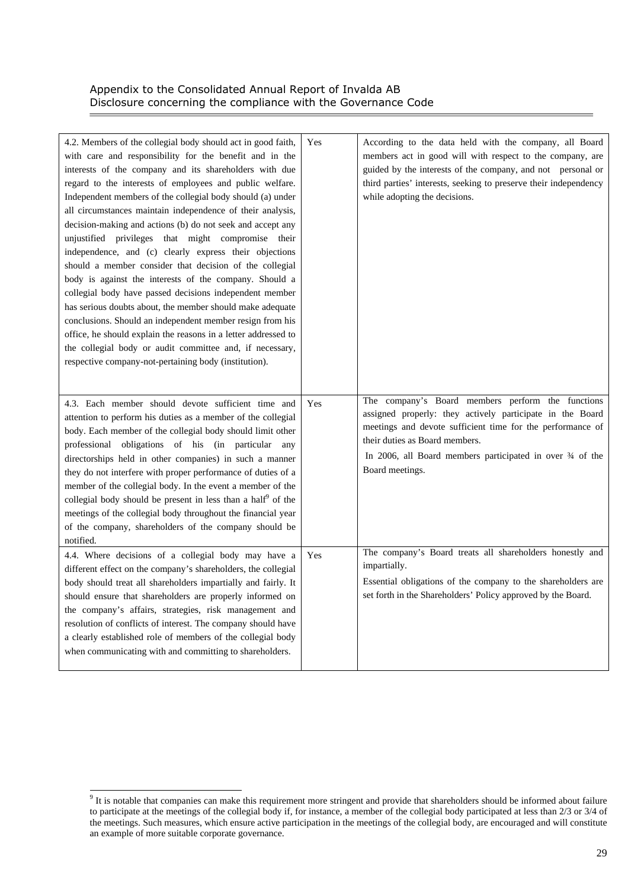| 4.2. Members of the collegial body should act in good faith,<br>with care and responsibility for the benefit and in the<br>interests of the company and its shareholders with due<br>regard to the interests of employees and public welfare.<br>Independent members of the collegial body should (a) under<br>all circumstances maintain independence of their analysis,<br>decision-making and actions (b) do not seek and accept any<br>unjustified privileges that might compromise their<br>independence, and (c) clearly express their objections<br>should a member consider that decision of the collegial<br>body is against the interests of the company. Should a<br>collegial body have passed decisions independent member<br>has serious doubts about, the member should make adequate<br>conclusions. Should an independent member resign from his<br>office, he should explain the reasons in a letter addressed to<br>the collegial body or audit committee and, if necessary,<br>respective company-not-pertaining body (institution). | Yes | According to the data held with the company, all Board<br>members act in good will with respect to the company, are<br>guided by the interests of the company, and not personal or<br>third parties' interests, seeking to preserve their independency<br>while adopting the decisions.        |
|----------------------------------------------------------------------------------------------------------------------------------------------------------------------------------------------------------------------------------------------------------------------------------------------------------------------------------------------------------------------------------------------------------------------------------------------------------------------------------------------------------------------------------------------------------------------------------------------------------------------------------------------------------------------------------------------------------------------------------------------------------------------------------------------------------------------------------------------------------------------------------------------------------------------------------------------------------------------------------------------------------------------------------------------------------|-----|------------------------------------------------------------------------------------------------------------------------------------------------------------------------------------------------------------------------------------------------------------------------------------------------|
| 4.3. Each member should devote sufficient time and<br>attention to perform his duties as a member of the collegial<br>body. Each member of the collegial body should limit other<br>professional obligations of his (in particular any<br>directorships held in other companies) in such a manner<br>they do not interfere with proper performance of duties of a<br>member of the collegial body. In the event a member of the<br>collegial body should be present in less than a half <sup><math>\theta</math></sup> of the<br>meetings of the collegial body throughout the financial year<br>of the company, shareholders of the company should be<br>notified.                                                                                                                                                                                                                                                                                                                                                                                      | Yes | The company's Board members perform the functions<br>assigned properly: they actively participate in the Board<br>meetings and devote sufficient time for the performance of<br>their duties as Board members.<br>In 2006, all Board members participated in over 34 of the<br>Board meetings. |
| 4.4. Where decisions of a collegial body may have a<br>different effect on the company's shareholders, the collegial<br>body should treat all shareholders impartially and fairly. It<br>should ensure that shareholders are properly informed on<br>the company's affairs, strategies, risk management and<br>resolution of conflicts of interest. The company should have<br>a clearly established role of members of the collegial body<br>when communicating with and committing to shareholders.                                                                                                                                                                                                                                                                                                                                                                                                                                                                                                                                                    | Yes | The company's Board treats all shareholders honestly and<br>impartially.<br>Essential obligations of the company to the shareholders are<br>set forth in the Shareholders' Policy approved by the Board.                                                                                       |

<sup>&</sup>lt;sup>9</sup> It is notable that companies can make this requirement more stringent and provide that shareholders should be informed about failure to participate at the meetings of the collegial body if, for instance, a member of the collegial body participated at less than 2/3 or 3/4 of the meetings. Such measures, which ensure active participation in the meetings of the collegial body, are encouraged and will constitute an example of more suitable corporate governance.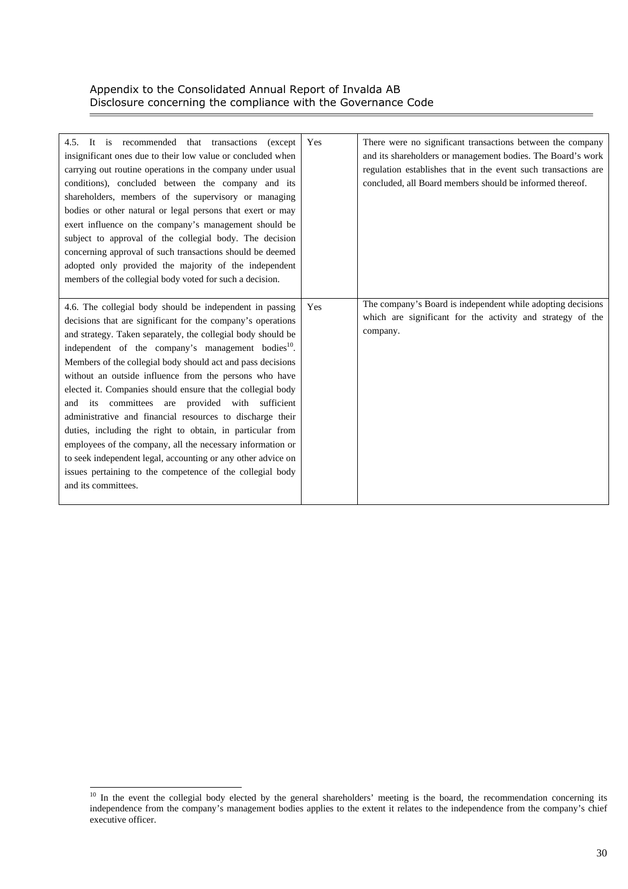| 4.5. It is recommended that transactions<br>(except)<br>insignificant ones due to their low value or concluded when<br>carrying out routine operations in the company under usual<br>conditions), concluded between the company and its<br>shareholders, members of the supervisory or managing<br>bodies or other natural or legal persons that exert or may<br>exert influence on the company's management should be<br>subject to approval of the collegial body. The decision<br>concerning approval of such transactions should be deemed<br>adopted only provided the majority of the independent<br>members of the collegial body voted for such a decision.                                                                                                                                                                              | Yes | There were no significant transactions between the company<br>and its shareholders or management bodies. The Board's work<br>regulation establishes that in the event such transactions are<br>concluded, all Board members should be informed thereof. |
|--------------------------------------------------------------------------------------------------------------------------------------------------------------------------------------------------------------------------------------------------------------------------------------------------------------------------------------------------------------------------------------------------------------------------------------------------------------------------------------------------------------------------------------------------------------------------------------------------------------------------------------------------------------------------------------------------------------------------------------------------------------------------------------------------------------------------------------------------|-----|---------------------------------------------------------------------------------------------------------------------------------------------------------------------------------------------------------------------------------------------------------|
| 4.6. The collegial body should be independent in passing<br>decisions that are significant for the company's operations<br>and strategy. Taken separately, the collegial body should be<br>independent of the company's management bodies <sup>10</sup> .<br>Members of the collegial body should act and pass decisions<br>without an outside influence from the persons who have<br>elected it. Companies should ensure that the collegial body<br>and its committees are provided with sufficient<br>administrative and financial resources to discharge their<br>duties, including the right to obtain, in particular from<br>employees of the company, all the necessary information or<br>to seek independent legal, accounting or any other advice on<br>issues pertaining to the competence of the collegial body<br>and its committees. | Yes | The company's Board is independent while adopting decisions<br>which are significant for the activity and strategy of the<br>company.                                                                                                                   |

l

<sup>&</sup>lt;sup>10</sup> In the event the collegial body elected by the general shareholders' meeting is the board, the recommendation concerning its independence from the company's management bodies applies to the extent it relates to the independence from the company's chief executive officer.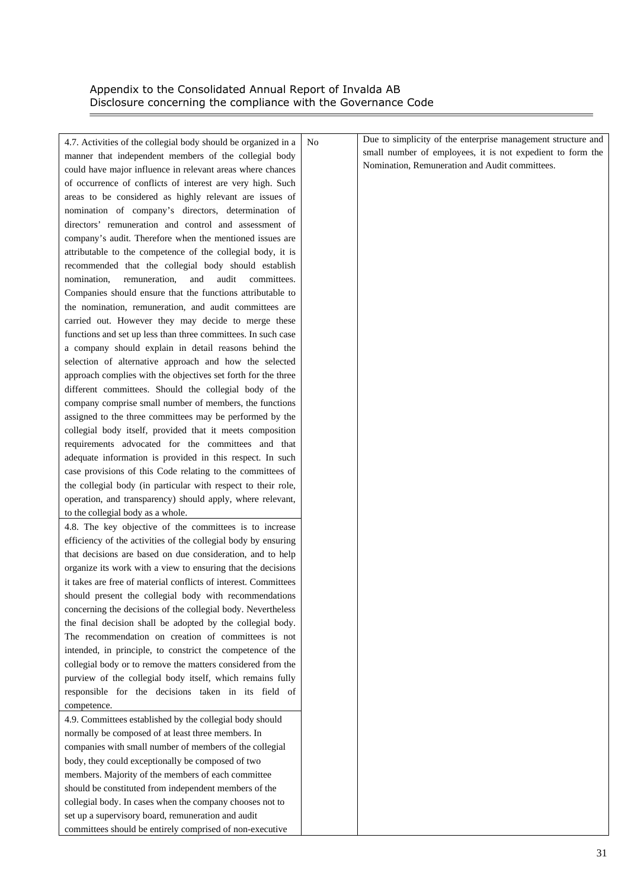$\equiv$ 

| 4.7. Activities of the collegial body should be organized in a     | N <sub>o</sub> | Due to simplicity of the enterprise management structure and |
|--------------------------------------------------------------------|----------------|--------------------------------------------------------------|
| manner that independent members of the collegial body              |                | small number of employees, it is not expedient to form the   |
| could have major influence in relevant areas where chances         |                | Nomination, Remuneration and Audit committees.               |
| of occurrence of conflicts of interest are very high. Such         |                |                                                              |
| areas to be considered as highly relevant are issues of            |                |                                                              |
| nomination of company's directors, determination of                |                |                                                              |
| directors' remuneration and control and assessment of              |                |                                                              |
| company's audit. Therefore when the mentioned issues are           |                |                                                              |
| attributable to the competence of the collegial body, it is        |                |                                                              |
| recommended that the collegial body should establish               |                |                                                              |
| remuneration,<br>and<br>audit<br>nomination,<br>committees.        |                |                                                              |
| Companies should ensure that the functions attributable to         |                |                                                              |
| the nomination, remuneration, and audit committees are             |                |                                                              |
| carried out. However they may decide to merge these                |                |                                                              |
| functions and set up less than three committees. In such case      |                |                                                              |
| a company should explain in detail reasons behind the              |                |                                                              |
| selection of alternative approach and how the selected             |                |                                                              |
| approach complies with the objectives set forth for the three      |                |                                                              |
| different committees. Should the collegial body of the             |                |                                                              |
| company comprise small number of members, the functions            |                |                                                              |
| assigned to the three committees may be performed by the           |                |                                                              |
| collegial body itself, provided that it meets composition          |                |                                                              |
| requirements advocated for the committees and that                 |                |                                                              |
| adequate information is provided in this respect. In such          |                |                                                              |
| case provisions of this Code relating to the committees of         |                |                                                              |
| the collegial body (in particular with respect to their role,      |                |                                                              |
| operation, and transparency) should apply, where relevant,         |                |                                                              |
| to the collegial body as a whole.                                  |                |                                                              |
| 4.8. The key objective of the committees is to increase            |                |                                                              |
| efficiency of the activities of the collegial body by ensuring     |                |                                                              |
| that decisions are based on due consideration, and to help         |                |                                                              |
| organize its work with a view to ensuring that the decisions       |                |                                                              |
| it takes are free of material conflicts of interest. Committees    |                |                                                              |
| should present the collegial body with recommendations             |                |                                                              |
| concerning the decisions of the collegial body. Nevertheless       |                |                                                              |
| the final decision shall be adopted by the collegial body.         |                |                                                              |
| The recommendation on creation of committees is not                |                |                                                              |
| intended, in principle, to constrict the competence of the         |                |                                                              |
|                                                                    |                |                                                              |
| collegial body or to remove the matters considered from the        |                |                                                              |
| purview of the collegial body itself, which remains fully          |                |                                                              |
| responsible for the decisions taken in its field of<br>competence. |                |                                                              |
|                                                                    |                |                                                              |
| 4.9. Committees established by the collegial body should           |                |                                                              |
| normally be composed of at least three members. In                 |                |                                                              |
| companies with small number of members of the collegial            |                |                                                              |
| body, they could exceptionally be composed of two                  |                |                                                              |
| members. Majority of the members of each committee                 |                |                                                              |
| should be constituted from independent members of the              |                |                                                              |
| collegial body. In cases when the company chooses not to           |                |                                                              |
| set up a supervisory board, remuneration and audit                 |                |                                                              |
| committees should be entirely comprised of non-executive           |                |                                                              |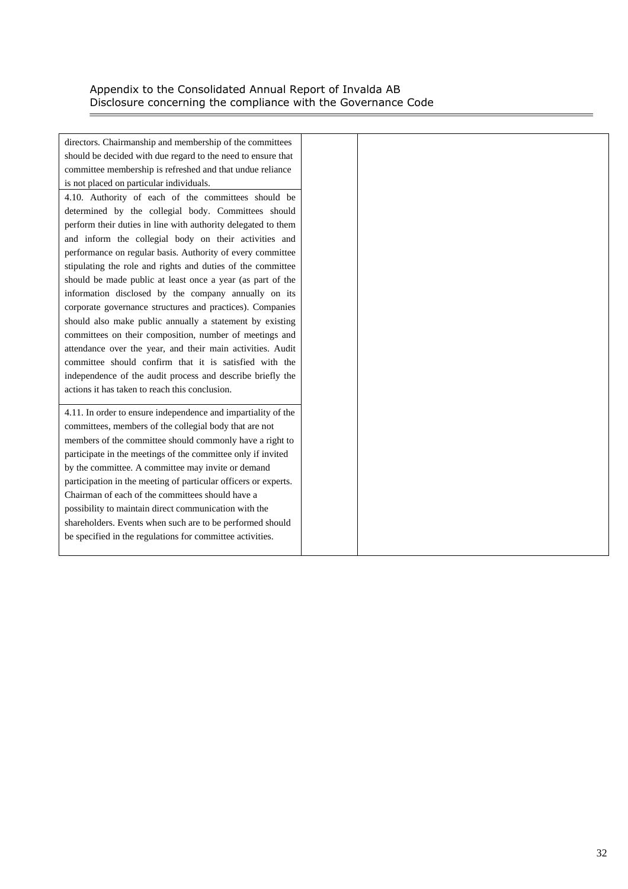directors. Chairmanship and membership of the committees should be decided with due regard to the need to ensure that committee membership is refreshed and that undue reliance is not placed on particular individuals.

4.10. Authority of each of the committees should be determined by the collegial body. Committees should perform their duties in line with authority delegated to them and inform the collegial body on their activities and performance on regular basis. Authority of every committee stipulating the role and rights and duties of the committee should be made public at least once a year (as part of the information disclosed by the company annually on its corporate governance structures and practices). Companies should also make public annually a statement by existing committees on their composition, number of meetings and attendance over the year, and their main activities. Audit committee should confirm that it is satisfied with the independence of the audit process and describe briefly the actions it has taken to reach this conclusion.

4.11. In order to ensure independence and impartiality of the committees, members of the collegial body that are not members of the committee should commonly have a right to participate in the meetings of the committee only if invited by the committee. A committee may invite or demand participation in the meeting of particular officers or experts. Chairman of each of the committees should have a possibility to maintain direct communication with the shareholders. Events when such are to be performed should be specified in the regulations for committee activities.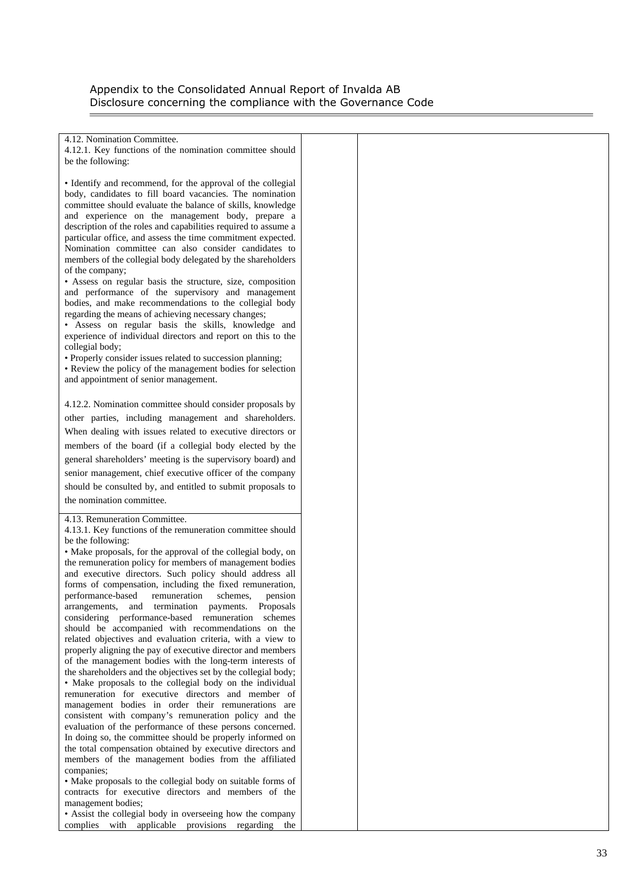4.12. Nomination Committee. 4.12.1. Key functions of the nomination committee should be the following: • Identify and recommend, for the approval of the collegial body, candidates to fill board vacancies. The nomination committee should evaluate the balance of skills, knowledge and experience on the management body, prepare a description of the roles and capabilities required to assume a particular office, and assess the time commitment expected. Nomination committee can also consider candidates to members of the collegial body delegated by the shareholders of the company; • Assess on regular basis the structure, size, composition and performance of the supervisory and management bodies, and make recommendations to the collegial body regarding the means of achieving necessary changes; • Assess on regular basis the skills, knowledge and experience of individual directors and report on this to the collegial body; • Properly consider issues related to succession planning; • Review the policy of the management bodies for selection and appointment of senior management. 4.12.2. Nomination committee should consider proposals by other parties, including management and shareholders. When dealing with issues related to executive directors or members of the board (if a collegial body elected by the general shareholders' meeting is the supervisory board) and senior management, chief executive officer of the company should be consulted by, and entitled to submit proposals to the nomination committee. 4.13. Remuneration Committee. 4.13.1. Key functions of the remuneration committee should be the following: • Make proposals, for the approval of the collegial body, on the remuneration policy for members of management bodies and executive directors. Such policy should address all forms of compensation, including the fixed remuneration, performance-based remuneration schemes, pension arrangements, and termination payments. Proposals considering performance-based remuneration schemes should be accompanied with recommendations on the related objectives and evaluation criteria, with a view to properly aligning the pay of executive director and members of the management bodies with the long-term interests of the shareholders and the objectives set by the collegial body; • Make proposals to the collegial body on the individual remuneration for executive directors and member of management bodies in order their remunerations are consistent with company's remuneration policy and the evaluation of the performance of these persons concerned. In doing so, the committee should be properly informed on the total compensation obtained by executive directors and members of the management bodies from the affiliated companies; • Make proposals to the collegial body on suitable forms of contracts for executive directors and members of the management bodies; • Assist the collegial body in overseeing how the company complies with applicable provisions regarding the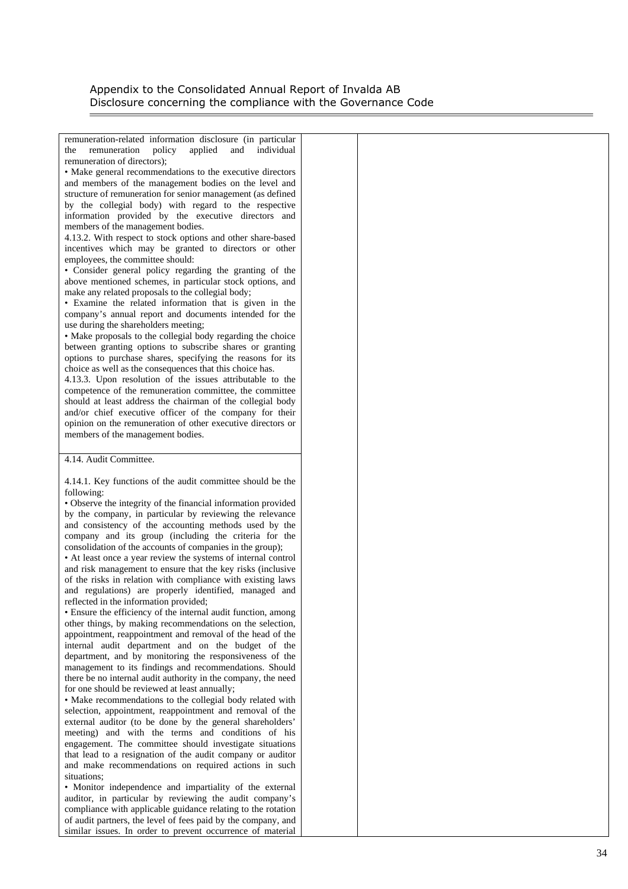remuneration-related information disclosure (in particular the remuneration policy applied and individual remuneration of directors);

• Make general recommendations to the executive directors and members of the management bodies on the level and structure of remuneration for senior management (as defined by the collegial body) with regard to the respective information provided by the executive directors and members of the management bodies.

4.13.2. With respect to stock options and other share-based incentives which may be granted to directors or other employees, the committee should:

• Consider general policy regarding the granting of the above mentioned schemes, in particular stock options, and make any related proposals to the collegial body;

• Examine the related information that is given in the company's annual report and documents intended for the use during the shareholders meeting;

• Make proposals to the collegial body regarding the choice between granting options to subscribe shares or granting options to purchase shares, specifying the reasons for its choice as well as the consequences that this choice has.

4.13.3. Upon resolution of the issues attributable to the competence of the remuneration committee, the committee should at least address the chairman of the collegial body and/or chief executive officer of the company for their opinion on the remuneration of other executive directors or members of the management bodies.

#### 4.14. Audit Committee.

4.14.1. Key functions of the audit committee should be the following:

• Observe the integrity of the financial information provided by the company, in particular by reviewing the relevance and consistency of the accounting methods used by the company and its group (including the criteria for the consolidation of the accounts of companies in the group);

• At least once a year review the systems of internal control and risk management to ensure that the key risks (inclusive of the risks in relation with compliance with existing laws and regulations) are properly identified, managed and reflected in the information provided;

• Ensure the efficiency of the internal audit function, among other things, by making recommendations on the selection, appointment, reappointment and removal of the head of the internal audit department and on the budget of the department, and by monitoring the responsiveness of the management to its findings and recommendations. Should there be no internal audit authority in the company, the need for one should be reviewed at least annually;

• Make recommendations to the collegial body related with selection, appointment, reappointment and removal of the external auditor (to be done by the general shareholders' meeting) and with the terms and conditions of his engagement. The committee should investigate situations that lead to a resignation of the audit company or auditor and make recommendations on required actions in such situations;

• Monitor independence and impartiality of the external auditor, in particular by reviewing the audit company's compliance with applicable guidance relating to the rotation of audit partners, the level of fees paid by the company, and similar issues. In order to prevent occurrence of material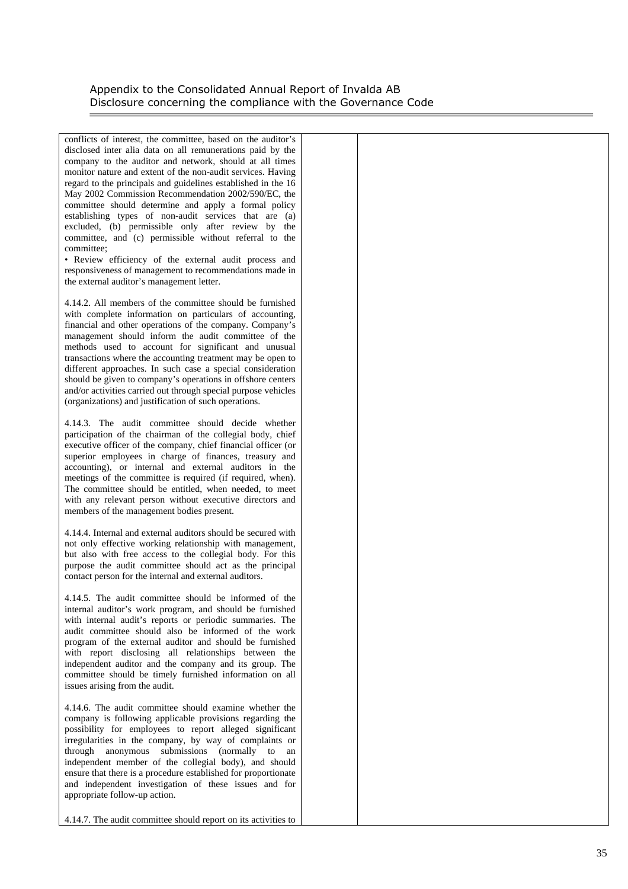conflicts of interest, the committee, based on the auditor's disclosed inter alia data on all remunerations paid by the company to the auditor and network, should at all times monitor nature and extent of the non-audit services. Having regard to the principals and guidelines established in the 16 May 2002 Commission Recommendation 2002/590/EC, the committee should determine and apply a formal policy establishing types of non-audit services that are (a) excluded, (b) permissible only after review by the committee, and (c) permissible without referral to the committee;

• Review efficiency of the external audit process and responsiveness of management to recommendations made in the external auditor's management letter.

4.14.2. All members of the committee should be furnished with complete information on particulars of accounting, financial and other operations of the company. Company's management should inform the audit committee of the methods used to account for significant and unusual transactions where the accounting treatment may be open to different approaches. In such case a special consideration should be given to company's operations in offshore centers and/or activities carried out through special purpose vehicles (organizations) and justification of such operations.

4.14.3. The audit committee should decide whether participation of the chairman of the collegial body, chief executive officer of the company, chief financial officer (or superior employees in charge of finances, treasury and accounting), or internal and external auditors in the meetings of the committee is required (if required, when). The committee should be entitled, when needed, to meet with any relevant person without executive directors and members of the management bodies present.

4.14.4. Internal and external auditors should be secured with not only effective working relationship with management, but also with free access to the collegial body. For this purpose the audit committee should act as the principal contact person for the internal and external auditors.

4.14.5. The audit committee should be informed of the internal auditor's work program, and should be furnished with internal audit's reports or periodic summaries. The audit committee should also be informed of the work program of the external auditor and should be furnished with report disclosing all relationships between the independent auditor and the company and its group. The committee should be timely furnished information on all issues arising from the audit.

4.14.6. The audit committee should examine whether the company is following applicable provisions regarding the possibility for employees to report alleged significant irregularities in the company, by way of complaints or through anonymous submissions (normally to an independent member of the collegial body), and should ensure that there is a procedure established for proportionate and independent investigation of these issues and for appropriate follow-up action.

4.14.7. The audit committee should report on its activities to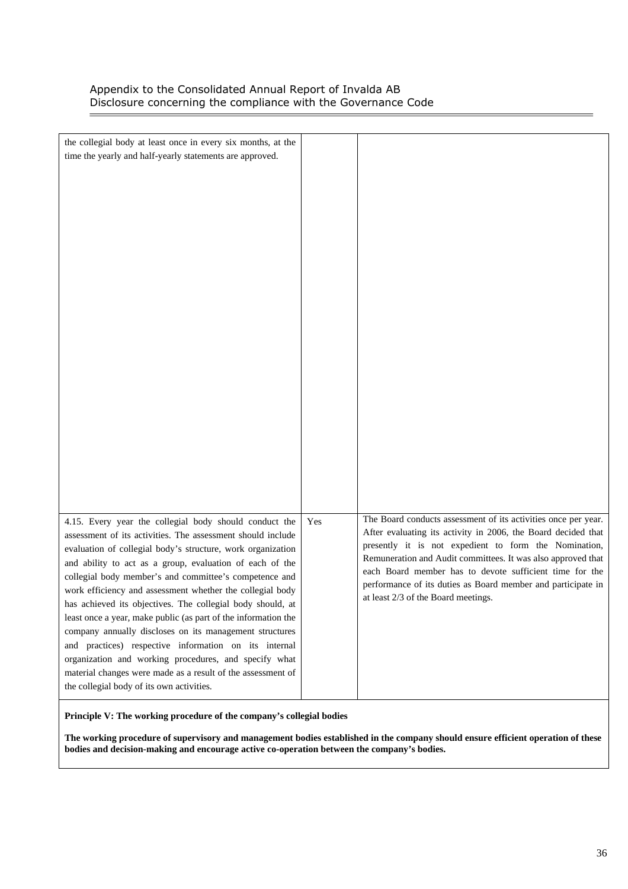í.

| the collegial body at least once in every six months, at the                                                            |     |                                                                                                                         |
|-------------------------------------------------------------------------------------------------------------------------|-----|-------------------------------------------------------------------------------------------------------------------------|
| time the yearly and half-yearly statements are approved.                                                                |     |                                                                                                                         |
|                                                                                                                         |     |                                                                                                                         |
|                                                                                                                         |     |                                                                                                                         |
|                                                                                                                         |     |                                                                                                                         |
|                                                                                                                         |     |                                                                                                                         |
|                                                                                                                         |     |                                                                                                                         |
|                                                                                                                         |     |                                                                                                                         |
|                                                                                                                         |     |                                                                                                                         |
|                                                                                                                         |     |                                                                                                                         |
|                                                                                                                         |     |                                                                                                                         |
|                                                                                                                         |     |                                                                                                                         |
|                                                                                                                         |     |                                                                                                                         |
|                                                                                                                         |     |                                                                                                                         |
|                                                                                                                         |     |                                                                                                                         |
|                                                                                                                         |     |                                                                                                                         |
|                                                                                                                         |     |                                                                                                                         |
|                                                                                                                         |     |                                                                                                                         |
|                                                                                                                         |     |                                                                                                                         |
|                                                                                                                         |     |                                                                                                                         |
|                                                                                                                         |     |                                                                                                                         |
|                                                                                                                         |     |                                                                                                                         |
|                                                                                                                         |     |                                                                                                                         |
|                                                                                                                         |     |                                                                                                                         |
| 4.15. Every year the collegial body should conduct the                                                                  | Yes | The Board conducts assessment of its activities once per year.                                                          |
| assessment of its activities. The assessment should include                                                             |     | After evaluating its activity in 2006, the Board decided that                                                           |
| evaluation of collegial body's structure, work organization                                                             |     | presently it is not expedient to form the Nomination,                                                                   |
| and ability to act as a group, evaluation of each of the                                                                |     | Remuneration and Audit committees. It was also approved that<br>each Board member has to devote sufficient time for the |
| collegial body member's and committee's competence and                                                                  |     | performance of its duties as Board member and participate in                                                            |
| work efficiency and assessment whether the collegial body<br>has achieved its objectives. The collegial body should, at |     | at least 2/3 of the Board meetings.                                                                                     |
| least once a year, make public (as part of the information the                                                          |     |                                                                                                                         |
| company annually discloses on its management structures                                                                 |     |                                                                                                                         |
| and practices) respective information on its internal                                                                   |     |                                                                                                                         |
| organization and working procedures, and specify what                                                                   |     |                                                                                                                         |
| material changes were made as a result of the assessment of                                                             |     |                                                                                                                         |
| the collegial body of its own activities.                                                                               |     |                                                                                                                         |

**Principle V: The working procedure of the company's collegial bodies** 

**The working procedure of supervisory and management bodies established in the company should ensure efficient operation of these bodies and decision-making and encourage active co-operation between the company's bodies.**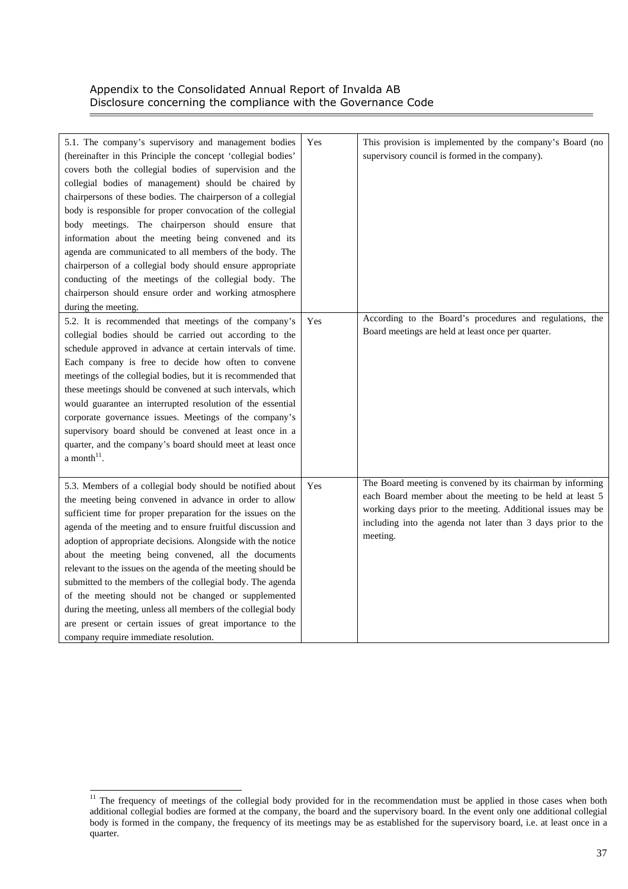| 5.1. The company's supervisory and management bodies<br>(hereinafter in this Principle the concept 'collegial bodies'<br>covers both the collegial bodies of supervision and the<br>collegial bodies of management) should be chaired by<br>chairpersons of these bodies. The chairperson of a collegial<br>body is responsible for proper convocation of the collegial<br>body meetings. The chairperson should ensure that<br>information about the meeting being convened and its<br>agenda are communicated to all members of the body. The<br>chairperson of a collegial body should ensure appropriate<br>conducting of the meetings of the collegial body. The<br>chairperson should ensure order and working atmosphere<br>during the meeting. | Yes | This provision is implemented by the company's Board (no<br>supervisory council is formed in the company). |
|--------------------------------------------------------------------------------------------------------------------------------------------------------------------------------------------------------------------------------------------------------------------------------------------------------------------------------------------------------------------------------------------------------------------------------------------------------------------------------------------------------------------------------------------------------------------------------------------------------------------------------------------------------------------------------------------------------------------------------------------------------|-----|------------------------------------------------------------------------------------------------------------|
| 5.2. It is recommended that meetings of the company's                                                                                                                                                                                                                                                                                                                                                                                                                                                                                                                                                                                                                                                                                                  | Yes | According to the Board's procedures and regulations, the                                                   |
| collegial bodies should be carried out according to the                                                                                                                                                                                                                                                                                                                                                                                                                                                                                                                                                                                                                                                                                                |     | Board meetings are held at least once per quarter.                                                         |
| schedule approved in advance at certain intervals of time.                                                                                                                                                                                                                                                                                                                                                                                                                                                                                                                                                                                                                                                                                             |     |                                                                                                            |
| Each company is free to decide how often to convene                                                                                                                                                                                                                                                                                                                                                                                                                                                                                                                                                                                                                                                                                                    |     |                                                                                                            |
| meetings of the collegial bodies, but it is recommended that                                                                                                                                                                                                                                                                                                                                                                                                                                                                                                                                                                                                                                                                                           |     |                                                                                                            |
| these meetings should be convened at such intervals, which                                                                                                                                                                                                                                                                                                                                                                                                                                                                                                                                                                                                                                                                                             |     |                                                                                                            |
| would guarantee an interrupted resolution of the essential                                                                                                                                                                                                                                                                                                                                                                                                                                                                                                                                                                                                                                                                                             |     |                                                                                                            |
| corporate governance issues. Meetings of the company's                                                                                                                                                                                                                                                                                                                                                                                                                                                                                                                                                                                                                                                                                                 |     |                                                                                                            |
| supervisory board should be convened at least once in a                                                                                                                                                                                                                                                                                                                                                                                                                                                                                                                                                                                                                                                                                                |     |                                                                                                            |
| quarter, and the company's board should meet at least once                                                                                                                                                                                                                                                                                                                                                                                                                                                                                                                                                                                                                                                                                             |     |                                                                                                            |
| a month $11$ .                                                                                                                                                                                                                                                                                                                                                                                                                                                                                                                                                                                                                                                                                                                                         |     |                                                                                                            |
|                                                                                                                                                                                                                                                                                                                                                                                                                                                                                                                                                                                                                                                                                                                                                        |     |                                                                                                            |
| 5.3. Members of a collegial body should be notified about                                                                                                                                                                                                                                                                                                                                                                                                                                                                                                                                                                                                                                                                                              | Yes | The Board meeting is convened by its chairman by informing                                                 |
| the meeting being convened in advance in order to allow                                                                                                                                                                                                                                                                                                                                                                                                                                                                                                                                                                                                                                                                                                |     | each Board member about the meeting to be held at least 5                                                  |
| sufficient time for proper preparation for the issues on the                                                                                                                                                                                                                                                                                                                                                                                                                                                                                                                                                                                                                                                                                           |     | working days prior to the meeting. Additional issues may be                                                |
| agenda of the meeting and to ensure fruitful discussion and                                                                                                                                                                                                                                                                                                                                                                                                                                                                                                                                                                                                                                                                                            |     | including into the agenda not later than 3 days prior to the                                               |
| adoption of appropriate decisions. Alongside with the notice                                                                                                                                                                                                                                                                                                                                                                                                                                                                                                                                                                                                                                                                                           |     | meeting.                                                                                                   |
| about the meeting being convened, all the documents                                                                                                                                                                                                                                                                                                                                                                                                                                                                                                                                                                                                                                                                                                    |     |                                                                                                            |
| relevant to the issues on the agenda of the meeting should be                                                                                                                                                                                                                                                                                                                                                                                                                                                                                                                                                                                                                                                                                          |     |                                                                                                            |
| submitted to the members of the collegial body. The agenda                                                                                                                                                                                                                                                                                                                                                                                                                                                                                                                                                                                                                                                                                             |     |                                                                                                            |
| of the meeting should not be changed or supplemented                                                                                                                                                                                                                                                                                                                                                                                                                                                                                                                                                                                                                                                                                                   |     |                                                                                                            |
| during the meeting, unless all members of the collegial body                                                                                                                                                                                                                                                                                                                                                                                                                                                                                                                                                                                                                                                                                           |     |                                                                                                            |
| are present or certain issues of great importance to the                                                                                                                                                                                                                                                                                                                                                                                                                                                                                                                                                                                                                                                                                               |     |                                                                                                            |
| company require immediate resolution.                                                                                                                                                                                                                                                                                                                                                                                                                                                                                                                                                                                                                                                                                                                  |     |                                                                                                            |

l  $11$  The frequency of meetings of the collegial body provided for in the recommendation must be applied in those cases when both additional collegial bodies are formed at the company, the board and the supervisory board. In the event only one additional collegial body is formed in the company, the frequency of its meetings may be as established for the supervisory board, i.e. at least once in a quarter.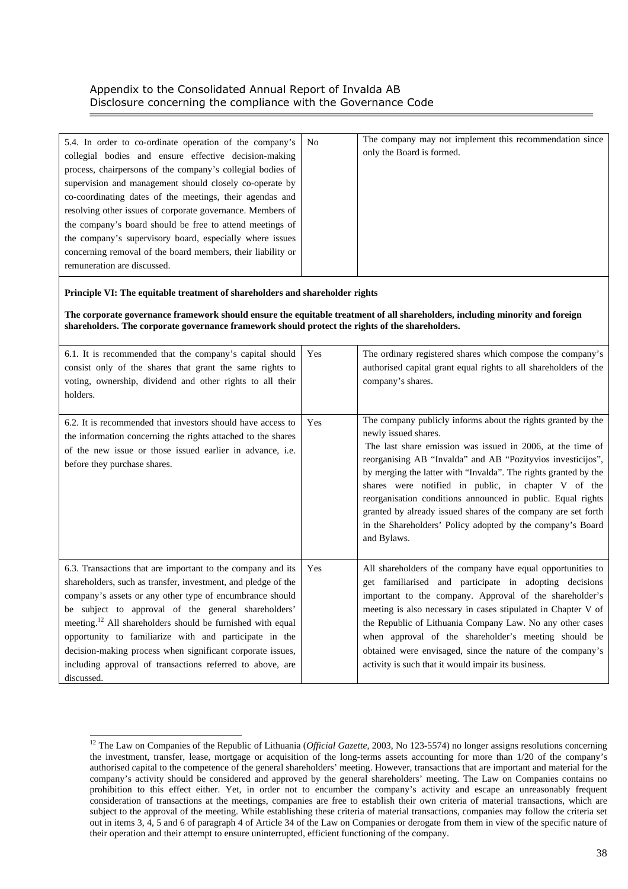#### **Principle VI: The equitable treatment of shareholders and shareholder rights**

l

**The corporate governance framework should ensure the equitable treatment of all shareholders, including minority and foreign shareholders. The corporate governance framework should protect the rights of the shareholders.** 

| 6.1. It is recommended that the company's capital should<br>consist only of the shares that grant the same rights to<br>voting, ownership, dividend and other rights to all their<br>holders.                                                                                                                                                                                                                                                                                                                                | Yes | The ordinary registered shares which compose the company's<br>authorised capital grant equal rights to all shareholders of the<br>company's shares.                                                                                                                                                                                                                                                                                                                                                                                                      |
|------------------------------------------------------------------------------------------------------------------------------------------------------------------------------------------------------------------------------------------------------------------------------------------------------------------------------------------------------------------------------------------------------------------------------------------------------------------------------------------------------------------------------|-----|----------------------------------------------------------------------------------------------------------------------------------------------------------------------------------------------------------------------------------------------------------------------------------------------------------------------------------------------------------------------------------------------------------------------------------------------------------------------------------------------------------------------------------------------------------|
| 6.2. It is recommended that investors should have access to<br>the information concerning the rights attached to the shares<br>of the new issue or those issued earlier in advance, i.e.<br>before they purchase shares.                                                                                                                                                                                                                                                                                                     | Yes | The company publicly informs about the rights granted by the<br>newly issued shares.<br>The last share emission was issued in 2006, at the time of<br>reorganising AB "Invalda" and AB "Pozityvios investicijos",<br>by merging the latter with "Invalda". The rights granted by the<br>shares were notified in public, in chapter V of the<br>reorganisation conditions announced in public. Equal rights<br>granted by already issued shares of the company are set forth<br>in the Shareholders' Policy adopted by the company's Board<br>and Bylaws. |
| 6.3. Transactions that are important to the company and its<br>shareholders, such as transfer, investment, and pledge of the<br>company's assets or any other type of encumbrance should<br>be subject to approval of the general shareholders'<br>meeting. <sup>12</sup> All shareholders should be furnished with equal<br>opportunity to familiarize with and participate in the<br>decision-making process when significant corporate issues,<br>including approval of transactions referred to above, are<br>discussed. | Yes | All shareholders of the company have equal opportunities to<br>get familiarised and participate in adopting decisions<br>important to the company. Approval of the shareholder's<br>meeting is also necessary in cases stipulated in Chapter V of<br>the Republic of Lithuania Company Law. No any other cases<br>when approval of the shareholder's meeting should be<br>obtained were envisaged, since the nature of the company's<br>activity is such that it would impair its business.                                                              |

<sup>12</sup> The Law on Companies of the Republic of Lithuania (*Official Gazette*, 2003, No 123-5574) no longer assigns resolutions concerning the investment, transfer, lease, mortgage or acquisition of the long-terms assets accounting for more than 1/20 of the company's authorised capital to the competence of the general shareholders' meeting. However, transactions that are important and material for the company's activity should be considered and approved by the general shareholders' meeting. The Law on Companies contains no prohibition to this effect either. Yet, in order not to encumber the company's activity and escape an unreasonably frequent consideration of transactions at the meetings, companies are free to establish their own criteria of material transactions, which are subject to the approval of the meeting. While establishing these criteria of material transactions, companies may follow the criteria set out in items 3, 4, 5 and 6 of paragraph 4 of Article 34 of the Law on Companies or derogate from them in view of the specific nature of their operation and their attempt to ensure uninterrupted, efficient functioning of the company.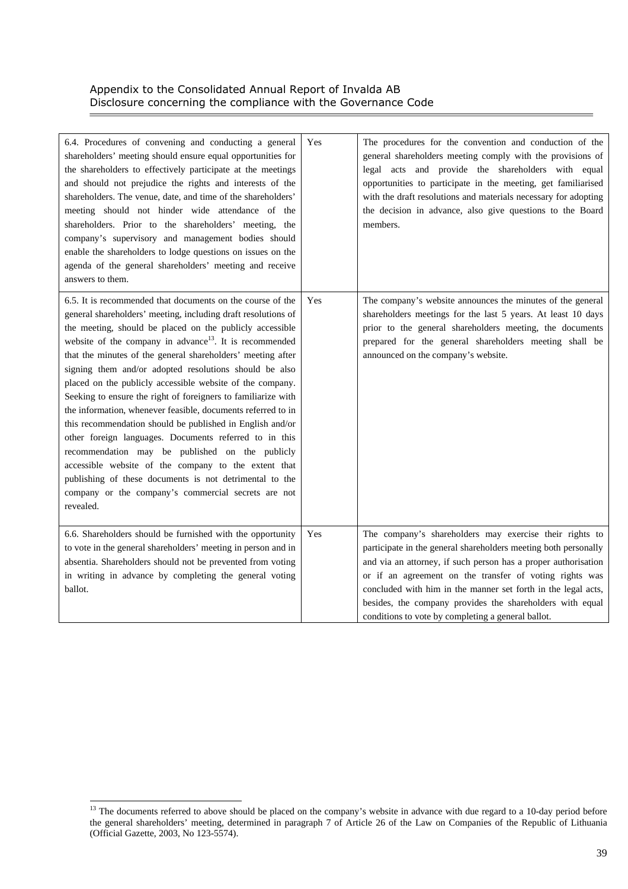| 6.4. Procedures of convening and conducting a general<br>shareholders' meeting should ensure equal opportunities for<br>the shareholders to effectively participate at the meetings<br>and should not prejudice the rights and interests of the<br>shareholders. The venue, date, and time of the shareholders'<br>meeting should not hinder wide attendance of the<br>shareholders. Prior to the shareholders' meeting, the<br>company's supervisory and management bodies should<br>enable the shareholders to lodge questions on issues on the<br>agenda of the general shareholders' meeting and receive<br>answers to them.                                                                                                                                                                                                                                                                                                                       | Yes | The procedures for the convention and conduction of the<br>general shareholders meeting comply with the provisions of<br>legal acts and provide the shareholders with equal<br>opportunities to participate in the meeting, get familiarised<br>with the draft resolutions and materials necessary for adopting<br>the decision in advance, also give questions to the Board<br>members.                                                    |
|--------------------------------------------------------------------------------------------------------------------------------------------------------------------------------------------------------------------------------------------------------------------------------------------------------------------------------------------------------------------------------------------------------------------------------------------------------------------------------------------------------------------------------------------------------------------------------------------------------------------------------------------------------------------------------------------------------------------------------------------------------------------------------------------------------------------------------------------------------------------------------------------------------------------------------------------------------|-----|---------------------------------------------------------------------------------------------------------------------------------------------------------------------------------------------------------------------------------------------------------------------------------------------------------------------------------------------------------------------------------------------------------------------------------------------|
| 6.5. It is recommended that documents on the course of the<br>general shareholders' meeting, including draft resolutions of<br>the meeting, should be placed on the publicly accessible<br>website of the company in advance <sup>13</sup> . It is recommended<br>that the minutes of the general shareholders' meeting after<br>signing them and/or adopted resolutions should be also<br>placed on the publicly accessible website of the company.<br>Seeking to ensure the right of foreigners to familiarize with<br>the information, whenever feasible, documents referred to in<br>this recommendation should be published in English and/or<br>other foreign languages. Documents referred to in this<br>recommendation may be published on the publicly<br>accessible website of the company to the extent that<br>publishing of these documents is not detrimental to the<br>company or the company's commercial secrets are not<br>revealed. | Yes | The company's website announces the minutes of the general<br>shareholders meetings for the last 5 years. At least 10 days<br>prior to the general shareholders meeting, the documents<br>prepared for the general shareholders meeting shall be<br>announced on the company's website.                                                                                                                                                     |
| 6.6. Shareholders should be furnished with the opportunity<br>to vote in the general shareholders' meeting in person and in<br>absentia. Shareholders should not be prevented from voting<br>in writing in advance by completing the general voting<br>ballot.                                                                                                                                                                                                                                                                                                                                                                                                                                                                                                                                                                                                                                                                                         | Yes | The company's shareholders may exercise their rights to<br>participate in the general shareholders meeting both personally<br>and via an attorney, if such person has a proper authorisation<br>or if an agreement on the transfer of voting rights was<br>concluded with him in the manner set forth in the legal acts,<br>besides, the company provides the shareholders with equal<br>conditions to vote by completing a general ballot. |

l

í.

 $13$  The documents referred to above should be placed on the company's website in advance with due regard to a 10-day period before the general shareholders' meeting, determined in paragraph 7 of Article 26 of the Law on Companies of the Republic of Lithuania (Official Gazette, 2003, No 123-5574).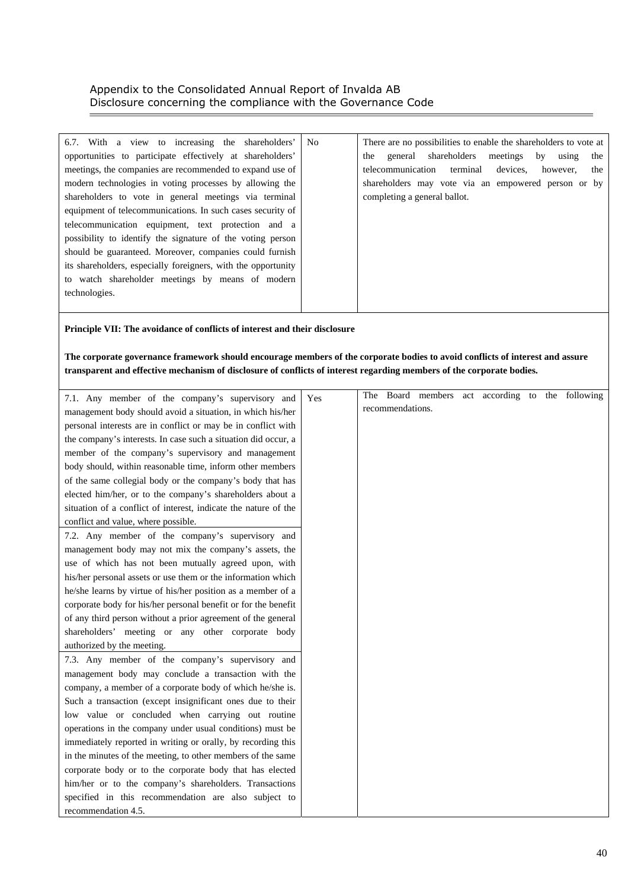| 6.7. With a view to increasing the shareholders'              | N <sub>0</sub> | There are no possibilities to enable the shareholders to vote at |
|---------------------------------------------------------------|----------------|------------------------------------------------------------------|
| opportunities to participate effectively at shareholders'     |                | general shareholders<br>meetings<br>by<br>the<br>using<br>the    |
| meetings, the companies are recommended to expand use of      |                | telecommunication<br>terminal<br>devices.<br>however.<br>the     |
| modern technologies in voting processes by allowing the       |                | shareholders may vote via an empowered person or by              |
| shareholders to vote in general meetings via terminal         |                | completing a general ballot.                                     |
| equipment of telecommunications. In such cases security of    |                |                                                                  |
| telecommunication equipment, text protection and a            |                |                                                                  |
| possibility to identify the signature of the voting person    |                |                                                                  |
| should be guaranteed. Moreover, companies could furnish       |                |                                                                  |
| its shareholders, especially foreigners, with the opportunity |                |                                                                  |
| to watch shareholder meetings by means of modern              |                |                                                                  |
| technologies.                                                 |                |                                                                  |
|                                                               |                |                                                                  |

#### **Principle VII: The avoidance of conflicts of interest and their disclosure**

### **The corporate governance framework should encourage members of the corporate bodies to avoid conflicts of interest and assure transparent and effective mechanism of disclosure of conflicts of interest regarding members of the corporate bodies.**

| 7.1. Any member of the company's supervisory and                | Yes | The |                  | Board members | act according to the following |  |  |
|-----------------------------------------------------------------|-----|-----|------------------|---------------|--------------------------------|--|--|
| management body should avoid a situation, in which his/her      |     |     | recommendations. |               |                                |  |  |
| personal interests are in conflict or may be in conflict with   |     |     |                  |               |                                |  |  |
| the company's interests. In case such a situation did occur, a  |     |     |                  |               |                                |  |  |
| member of the company's supervisory and management              |     |     |                  |               |                                |  |  |
| body should, within reasonable time, inform other members       |     |     |                  |               |                                |  |  |
| of the same collegial body or the company's body that has       |     |     |                  |               |                                |  |  |
| elected him/her, or to the company's shareholders about a       |     |     |                  |               |                                |  |  |
| situation of a conflict of interest, indicate the nature of the |     |     |                  |               |                                |  |  |
| conflict and value, where possible.                             |     |     |                  |               |                                |  |  |
| 7.2. Any member of the company's supervisory and                |     |     |                  |               |                                |  |  |
| management body may not mix the company's assets, the           |     |     |                  |               |                                |  |  |
| use of which has not been mutually agreed upon, with            |     |     |                  |               |                                |  |  |
| his/her personal assets or use them or the information which    |     |     |                  |               |                                |  |  |
| he/she learns by virtue of his/her position as a member of a    |     |     |                  |               |                                |  |  |
| corporate body for his/her personal benefit or for the benefit  |     |     |                  |               |                                |  |  |
| of any third person without a prior agreement of the general    |     |     |                  |               |                                |  |  |
| shareholders' meeting or any other corporate body               |     |     |                  |               |                                |  |  |
| authorized by the meeting.                                      |     |     |                  |               |                                |  |  |
| 7.3. Any member of the company's supervisory and                |     |     |                  |               |                                |  |  |
| management body may conclude a transaction with the             |     |     |                  |               |                                |  |  |
| company, a member of a corporate body of which he/she is.       |     |     |                  |               |                                |  |  |
| Such a transaction (except insignificant ones due to their      |     |     |                  |               |                                |  |  |
| low value or concluded when carrying out routine                |     |     |                  |               |                                |  |  |
| operations in the company under usual conditions) must be       |     |     |                  |               |                                |  |  |
| immediately reported in writing or orally, by recording this    |     |     |                  |               |                                |  |  |
| in the minutes of the meeting, to other members of the same     |     |     |                  |               |                                |  |  |
| corporate body or to the corporate body that has elected        |     |     |                  |               |                                |  |  |
| him/her or to the company's shareholders. Transactions          |     |     |                  |               |                                |  |  |
| specified in this recommendation are also subject to            |     |     |                  |               |                                |  |  |
| recommendation 4.5.                                             |     |     |                  |               |                                |  |  |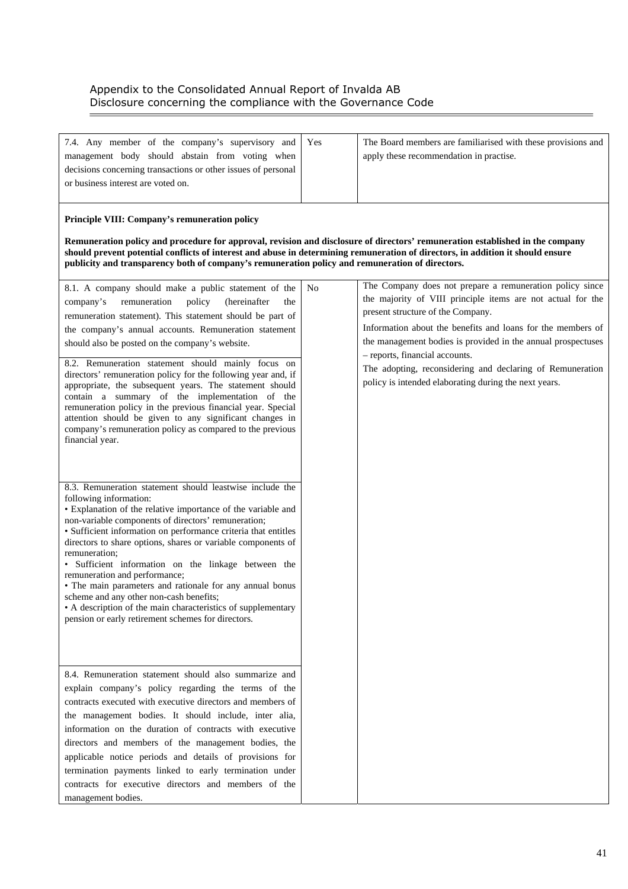$\equiv$ 

| 7.4. Any member of the company's supervisory and<br>management body should abstain from voting when<br>decisions concerning transactions or other issues of personal<br>or business interest are voted on.                                                                                                                                                                                                                                                                                                                                                                                                                                                                        | Yes | The Board members are familiarised with these provisions and<br>apply these recommendation in practise.                                                                                                                         |
|-----------------------------------------------------------------------------------------------------------------------------------------------------------------------------------------------------------------------------------------------------------------------------------------------------------------------------------------------------------------------------------------------------------------------------------------------------------------------------------------------------------------------------------------------------------------------------------------------------------------------------------------------------------------------------------|-----|---------------------------------------------------------------------------------------------------------------------------------------------------------------------------------------------------------------------------------|
| Principle VIII: Company's remuneration policy<br>Remuneration policy and procedure for approval, revision and disclosure of directors' remuneration established in the company<br>should prevent potential conflicts of interest and abuse in determining remuneration of directors, in addition it should ensure<br>publicity and transparency both of company's remuneration policy and remuneration of directors.<br>8.1. A company should make a public statement of the                                                                                                                                                                                                      | No  | The Company does not prepare a remuneration policy since                                                                                                                                                                        |
| company's<br>remuneration<br>policy<br>(hereinafter<br>the<br>remuneration statement). This statement should be part of<br>the company's annual accounts. Remuneration statement<br>should also be posted on the company's website.                                                                                                                                                                                                                                                                                                                                                                                                                                               |     | the majority of VIII principle items are not actual for the<br>present structure of the Company.<br>Information about the benefits and loans for the members of<br>the management bodies is provided in the annual prospectuses |
| 8.2. Remuneration statement should mainly focus on<br>directors' remuneration policy for the following year and, if<br>appropriate, the subsequent years. The statement should<br>contain a summary of the implementation of the<br>remuneration policy in the previous financial year. Special<br>attention should be given to any significant changes in<br>company's remuneration policy as compared to the previous<br>financial year.                                                                                                                                                                                                                                        |     | - reports, financial accounts.<br>The adopting, reconsidering and declaring of Remuneration<br>policy is intended elaborating during the next years.                                                                            |
| 8.3. Remuneration statement should leastwise include the<br>following information:<br>• Explanation of the relative importance of the variable and<br>non-variable components of directors' remuneration;<br>· Sufficient information on performance criteria that entitles<br>directors to share options, shares or variable components of<br>remuneration:<br>· Sufficient information on the linkage between the<br>remuneration and performance;<br>• The main parameters and rationale for any annual bonus<br>scheme and any other non-cash benefits;<br>• A description of the main characteristics of supplementary<br>pension or early retirement schemes for directors. |     |                                                                                                                                                                                                                                 |
| 8.4. Remuneration statement should also summarize and<br>explain company's policy regarding the terms of the<br>contracts executed with executive directors and members of<br>the management bodies. It should include, inter alia,<br>information on the duration of contracts with executive<br>directors and members of the management bodies, the<br>applicable notice periods and details of provisions for<br>termination payments linked to early termination under<br>contracts for executive directors and members of the<br>management bodies.                                                                                                                          |     |                                                                                                                                                                                                                                 |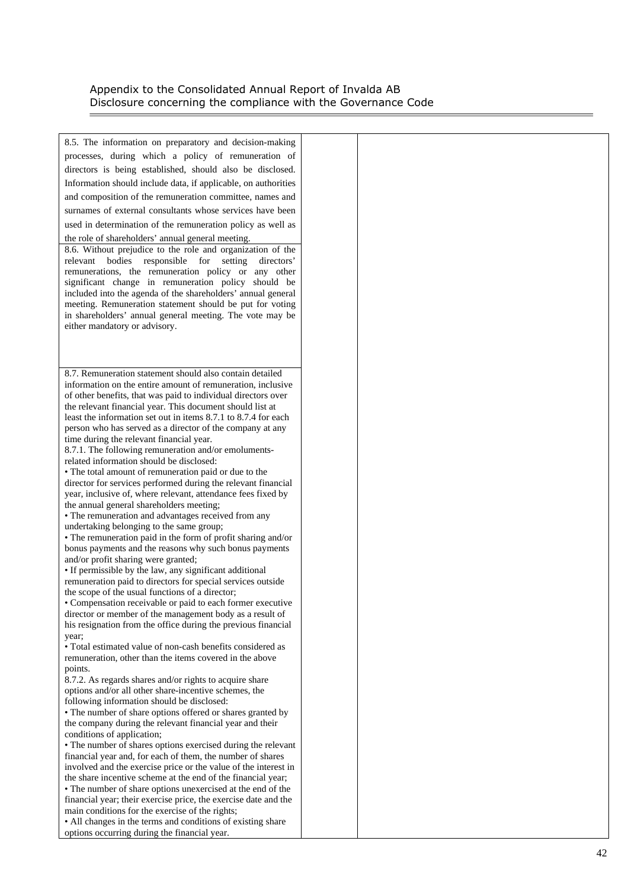$\equiv$ 

| 8.5. The information on preparatory and decision-making                                                                       |  |
|-------------------------------------------------------------------------------------------------------------------------------|--|
| processes, during which a policy of remuneration of                                                                           |  |
| directors is being established, should also be disclosed.                                                                     |  |
|                                                                                                                               |  |
| Information should include data, if applicable, on authorities                                                                |  |
| and composition of the remuneration committee, names and                                                                      |  |
| surnames of external consultants whose services have been                                                                     |  |
| used in determination of the remuneration policy as well as                                                                   |  |
| the role of shareholders' annual general meeting.                                                                             |  |
| 8.6. Without prejudice to the role and organization of the                                                                    |  |
| relevant bodies responsible for setting directors'                                                                            |  |
| remunerations, the remuneration policy or any other                                                                           |  |
| significant change in remuneration policy should be<br>included into the agenda of the shareholders' annual general           |  |
| meeting. Remuneration statement should be put for voting                                                                      |  |
| in shareholders' annual general meeting. The vote may be                                                                      |  |
| either mandatory or advisory.                                                                                                 |  |
|                                                                                                                               |  |
|                                                                                                                               |  |
|                                                                                                                               |  |
| 8.7. Remuneration statement should also contain detailed                                                                      |  |
| information on the entire amount of remuneration, inclusive                                                                   |  |
| of other benefits, that was paid to individual directors over<br>the relevant financial year. This document should list at    |  |
| least the information set out in items 8.7.1 to 8.7.4 for each                                                                |  |
| person who has served as a director of the company at any                                                                     |  |
| time during the relevant financial year.                                                                                      |  |
| 8.7.1. The following remuneration and/or emoluments-                                                                          |  |
| related information should be disclosed:                                                                                      |  |
| • The total amount of remuneration paid or due to the                                                                         |  |
| director for services performed during the relevant financial<br>year, inclusive of, where relevant, attendance fees fixed by |  |
| the annual general shareholders meeting;                                                                                      |  |
| • The remuneration and advantages received from any                                                                           |  |
| undertaking belonging to the same group;                                                                                      |  |
| • The remuneration paid in the form of profit sharing and/or                                                                  |  |
| bonus payments and the reasons why such bonus payments                                                                        |  |
| and/or profit sharing were granted;                                                                                           |  |
| • If permissible by the law, any significant additional<br>remuneration paid to directors for special services outside        |  |
| the scope of the usual functions of a director;                                                                               |  |
| • Compensation receivable or paid to each former executive                                                                    |  |
| director or member of the management body as a result of                                                                      |  |
| his resignation from the office during the previous financial                                                                 |  |
| year;                                                                                                                         |  |
| • Total estimated value of non-cash benefits considered as                                                                    |  |
| remuneration, other than the items covered in the above<br>points.                                                            |  |
| 8.7.2. As regards shares and/or rights to acquire share                                                                       |  |
| options and/or all other share-incentive schemes, the                                                                         |  |
| following information should be disclosed:                                                                                    |  |
| • The number of share options offered or shares granted by                                                                    |  |
| the company during the relevant financial year and their                                                                      |  |
| conditions of application;                                                                                                    |  |
| • The number of shares options exercised during the relevant<br>financial year and, for each of them, the number of shares    |  |
| involved and the exercise price or the value of the interest in                                                               |  |
| the share incentive scheme at the end of the financial year;                                                                  |  |
| • The number of share options unexercised at the end of the                                                                   |  |
| financial year; their exercise price, the exercise date and the                                                               |  |
| main conditions for the exercise of the rights;                                                                               |  |
| • All changes in the terms and conditions of existing share                                                                   |  |
| options occurring during the financial year.                                                                                  |  |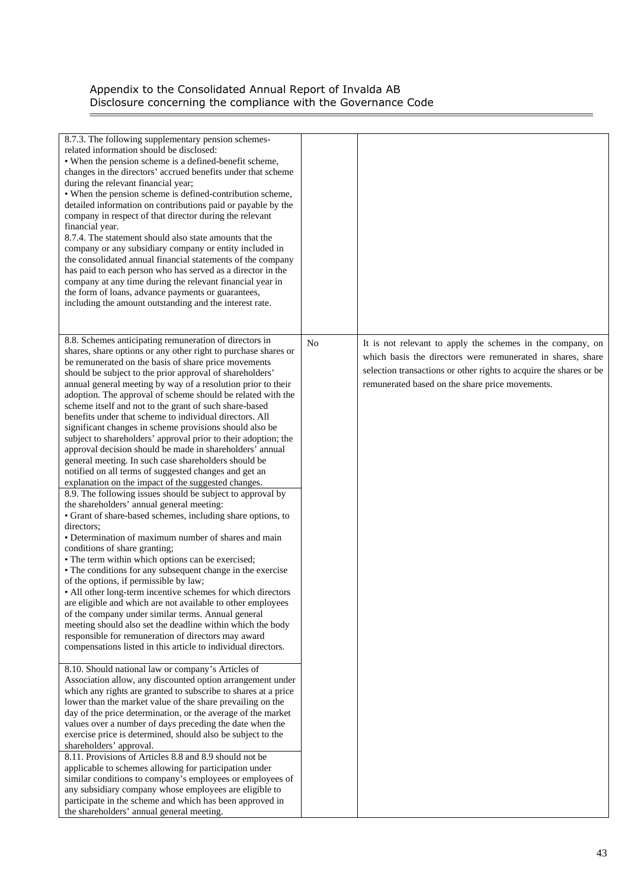Ē,

| 8.7.3. The following supplementary pension schemes-<br>related information should be disclosed:<br>• When the pension scheme is a defined-benefit scheme,<br>changes in the directors' accrued benefits under that scheme<br>during the relevant financial year;<br>• When the pension scheme is defined-contribution scheme,<br>detailed information on contributions paid or payable by the<br>company in respect of that director during the relevant<br>financial year.<br>8.7.4. The statement should also state amounts that the<br>company or any subsidiary company or entity included in<br>the consolidated annual financial statements of the company<br>has paid to each person who has served as a director in the<br>company at any time during the relevant financial year in<br>the form of loans, advance payments or guarantees,<br>including the amount outstanding and the interest rate.                                                                                                                                                                                                                                                                                                                                                                                                                                                                                                                                                                                                                                                                                                                                                                                                                                                                                                                                                                                                                                                                                                                                                                                                                                                                                                                                                                                                                                                                                                                                                                                                           |                |                                                                                                                                                                                                                                                    |
|-------------------------------------------------------------------------------------------------------------------------------------------------------------------------------------------------------------------------------------------------------------------------------------------------------------------------------------------------------------------------------------------------------------------------------------------------------------------------------------------------------------------------------------------------------------------------------------------------------------------------------------------------------------------------------------------------------------------------------------------------------------------------------------------------------------------------------------------------------------------------------------------------------------------------------------------------------------------------------------------------------------------------------------------------------------------------------------------------------------------------------------------------------------------------------------------------------------------------------------------------------------------------------------------------------------------------------------------------------------------------------------------------------------------------------------------------------------------------------------------------------------------------------------------------------------------------------------------------------------------------------------------------------------------------------------------------------------------------------------------------------------------------------------------------------------------------------------------------------------------------------------------------------------------------------------------------------------------------------------------------------------------------------------------------------------------------------------------------------------------------------------------------------------------------------------------------------------------------------------------------------------------------------------------------------------------------------------------------------------------------------------------------------------------------------------------------------------------------------------------------------------------------|----------------|----------------------------------------------------------------------------------------------------------------------------------------------------------------------------------------------------------------------------------------------------|
| 8.8. Schemes anticipating remuneration of directors in<br>shares, share options or any other right to purchase shares or<br>be remunerated on the basis of share price movements<br>should be subject to the prior approval of shareholders'<br>annual general meeting by way of a resolution prior to their<br>adoption. The approval of scheme should be related with the<br>scheme itself and not to the grant of such share-based<br>benefits under that scheme to individual directors. All<br>significant changes in scheme provisions should also be<br>subject to shareholders' approval prior to their adoption; the<br>approval decision should be made in shareholders' annual<br>general meeting. In such case shareholders should be<br>notified on all terms of suggested changes and get an<br>explanation on the impact of the suggested changes.<br>8.9. The following issues should be subject to approval by<br>the shareholders' annual general meeting:<br>• Grant of share-based schemes, including share options, to<br>directors;<br>• Determination of maximum number of shares and main<br>conditions of share granting;<br>• The term within which options can be exercised;<br>• The conditions for any subsequent change in the exercise<br>of the options, if permissible by law;<br>• All other long-term incentive schemes for which directors<br>are eligible and which are not available to other employees<br>of the company under similar terms. Annual general<br>meeting should also set the deadline within which the body<br>responsible for remuneration of directors may award<br>compensations listed in this article to individual directors.<br>8.10. Should national law or company's Articles of<br>Association allow, any discounted option arrangement under<br>which any rights are granted to subscribe to shares at a price<br>lower than the market value of the share prevailing on the<br>day of the price determination, or the average of the market<br>values over a number of days preceding the date when the<br>exercise price is determined, should also be subject to the<br>shareholders' approval.<br>8.11. Provisions of Articles 8.8 and 8.9 should not be<br>applicable to schemes allowing for participation under<br>similar conditions to company's employees or employees of<br>any subsidiary company whose employees are eligible to<br>participate in the scheme and which has been approved in<br>the shareholders' annual general meeting. | N <sub>o</sub> | It is not relevant to apply the schemes in the company, on<br>which basis the directors were remunerated in shares, share<br>selection transactions or other rights to acquire the shares or be<br>remunerated based on the share price movements. |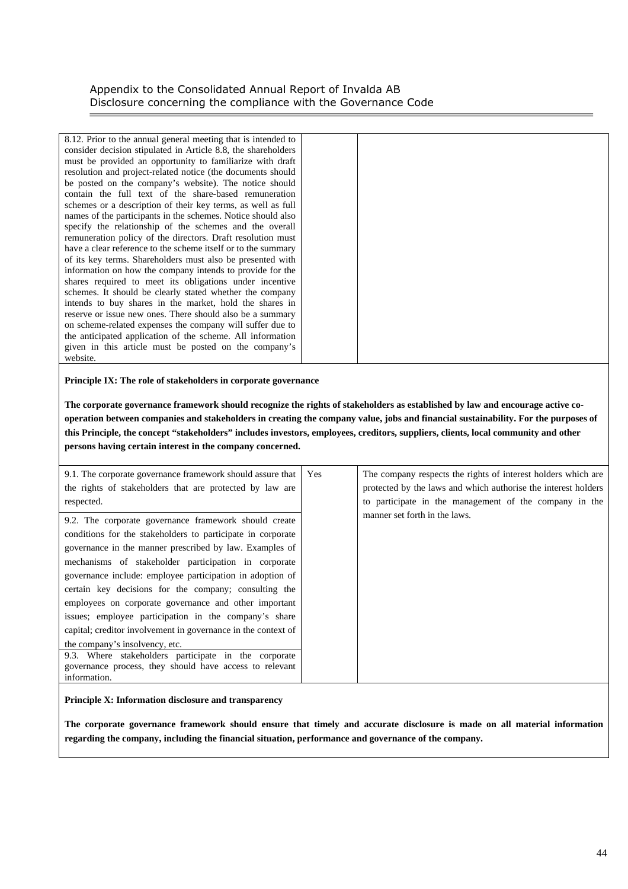| 8.12. Prior to the annual general meeting that is intended to |  |
|---------------------------------------------------------------|--|
| consider decision stipulated in Article 8.8, the shareholders |  |
| must be provided an opportunity to familiarize with draft     |  |
| resolution and project-related notice (the documents should   |  |
| be posted on the company's website). The notice should        |  |
| contain the full text of the share-based remuneration         |  |
| schemes or a description of their key terms, as well as full  |  |
| names of the participants in the schemes. Notice should also  |  |
| specify the relationship of the schemes and the overall       |  |
| remuneration policy of the directors. Draft resolution must   |  |
| have a clear reference to the scheme itself or to the summary |  |
| of its key terms. Shareholders must also be presented with    |  |
| information on how the company intends to provide for the     |  |
| shares required to meet its obligations under incentive       |  |
| schemes. It should be clearly stated whether the company      |  |
| intends to buy shares in the market, hold the shares in       |  |
| reserve or issue new ones. There should also be a summary     |  |
| on scheme-related expenses the company will suffer due to     |  |
| the anticipated application of the scheme. All information    |  |
| given in this article must be posted on the company's         |  |
| website.                                                      |  |

#### **Principle IX: The role of stakeholders in corporate governance**

**The corporate governance framework should recognize the rights of stakeholders as established by law and encourage active cooperation between companies and stakeholders in creating the company value, jobs and financial sustainability. For the purposes of this Principle, the concept "stakeholders" includes investors, employees, creditors, suppliers, clients, local community and other persons having certain interest in the company concerned.** 

| 9.1. The corporate governance framework should assure that<br>the rights of stakeholders that are protected by law are<br>respected.                                                                                                                                                                                                                                                                                                                                                                                                                                                                                                                                                                                  | Yes | The company respects the rights of interest holders which are<br>protected by the laws and which authorise the interest holders<br>to participate in the management of the company in the |
|-----------------------------------------------------------------------------------------------------------------------------------------------------------------------------------------------------------------------------------------------------------------------------------------------------------------------------------------------------------------------------------------------------------------------------------------------------------------------------------------------------------------------------------------------------------------------------------------------------------------------------------------------------------------------------------------------------------------------|-----|-------------------------------------------------------------------------------------------------------------------------------------------------------------------------------------------|
| 9.2. The corporate governance framework should create<br>conditions for the stakeholders to participate in corporate<br>governance in the manner prescribed by law. Examples of<br>mechanisms of stakeholder participation in corporate<br>governance include: employee participation in adoption of<br>certain key decisions for the company; consulting the<br>employees on corporate governance and other important<br>issues; employee participation in the company's share<br>capital; creditor involvement in governance in the context of<br>the company's insolvency, etc.<br>9.3. Where stakeholders participate in the corporate<br>governance process, they should have access to relevant<br>information. |     | manner set forth in the laws.                                                                                                                                                             |
|                                                                                                                                                                                                                                                                                                                                                                                                                                                                                                                                                                                                                                                                                                                       |     |                                                                                                                                                                                           |

#### **Principle X: Information disclosure and transparency**

**The corporate governance framework should ensure that timely and accurate disclosure is made on all material information regarding the company, including the financial situation, performance and governance of the company.**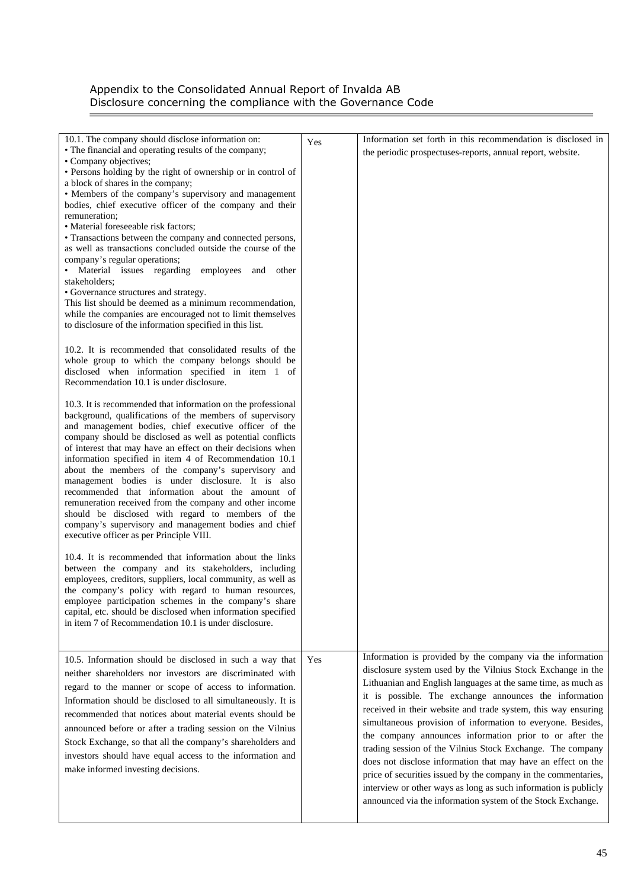$\overline{\phantom{a}}$ 

| 10.1. The company should disclose information on:<br>• The financial and operating results of the company;<br>• Company objectives;<br>• Persons holding by the right of ownership or in control of<br>a block of shares in the company;<br>• Members of the company's supervisory and management<br>bodies, chief executive officer of the company and their<br>remuneration;<br>• Material foreseeable risk factors;<br>• Transactions between the company and connected persons,<br>as well as transactions concluded outside the course of the<br>company's regular operations;<br>• Material issues regarding employees and other<br>stakeholders;<br>• Governance structures and strategy.<br>This list should be deemed as a minimum recommendation,<br>while the companies are encouraged not to limit themselves<br>to disclosure of the information specified in this list.<br>10.2. It is recommended that consolidated results of the<br>whole group to which the company belongs should be<br>disclosed when information specified in item 1 of<br>Recommendation 10.1 is under disclosure.<br>10.3. It is recommended that information on the professional<br>background, qualifications of the members of supervisory<br>and management bodies, chief executive officer of the<br>company should be disclosed as well as potential conflicts<br>of interest that may have an effect on their decisions when<br>information specified in item 4 of Recommendation 10.1<br>about the members of the company's supervisory and<br>management bodies is under disclosure. It is also<br>recommended that information about the amount of<br>remuneration received from the company and other income<br>should be disclosed with regard to members of the<br>company's supervisory and management bodies and chief<br>executive officer as per Principle VIII.<br>10.4. It is recommended that information about the links<br>between the company and its stakeholders, including<br>employees, creditors, suppliers, local community, as well as<br>the company's policy with regard to human resources,<br>employee participation schemes in the company's share<br>capital, etc. should be disclosed when information specified<br>in item 7 of Recommendation 10.1 is under disclosure. | Yes | Information set forth in this recommendation is disclosed in<br>the periodic prospectuses-reports, annual report, website.                                                                                                                                                                                                                                                                                                                                                                                                                                                                                                                                                                                                                                                        |
|-------------------------------------------------------------------------------------------------------------------------------------------------------------------------------------------------------------------------------------------------------------------------------------------------------------------------------------------------------------------------------------------------------------------------------------------------------------------------------------------------------------------------------------------------------------------------------------------------------------------------------------------------------------------------------------------------------------------------------------------------------------------------------------------------------------------------------------------------------------------------------------------------------------------------------------------------------------------------------------------------------------------------------------------------------------------------------------------------------------------------------------------------------------------------------------------------------------------------------------------------------------------------------------------------------------------------------------------------------------------------------------------------------------------------------------------------------------------------------------------------------------------------------------------------------------------------------------------------------------------------------------------------------------------------------------------------------------------------------------------------------------------------------------------------------------------------------------------------------------------------------------------------------------------------------------------------------------------------------------------------------------------------------------------------------------------------------------------------------------------------------------------------------------------------------------------------------------------------------------------------------------------------------------------------------|-----|-----------------------------------------------------------------------------------------------------------------------------------------------------------------------------------------------------------------------------------------------------------------------------------------------------------------------------------------------------------------------------------------------------------------------------------------------------------------------------------------------------------------------------------------------------------------------------------------------------------------------------------------------------------------------------------------------------------------------------------------------------------------------------------|
| 10.5. Information should be disclosed in such a way that<br>neither shareholders nor investors are discriminated with<br>regard to the manner or scope of access to information.<br>Information should be disclosed to all simultaneously. It is<br>recommended that notices about material events should be<br>announced before or after a trading session on the Vilnius<br>Stock Exchange, so that all the company's shareholders and<br>investors should have equal access to the information and<br>make informed investing decisions.                                                                                                                                                                                                                                                                                                                                                                                                                                                                                                                                                                                                                                                                                                                                                                                                                                                                                                                                                                                                                                                                                                                                                                                                                                                                                                                                                                                                                                                                                                                                                                                                                                                                                                                                                           | Yes | Information is provided by the company via the information<br>disclosure system used by the Vilnius Stock Exchange in the<br>Lithuanian and English languages at the same time, as much as<br>it is possible. The exchange announces the information<br>received in their website and trade system, this way ensuring<br>simultaneous provision of information to everyone. Besides,<br>the company announces information prior to or after the<br>trading session of the Vilnius Stock Exchange. The company<br>does not disclose information that may have an effect on the<br>price of securities issued by the company in the commentaries,<br>interview or other ways as long as such information is publicly<br>announced via the information system of the Stock Exchange. |